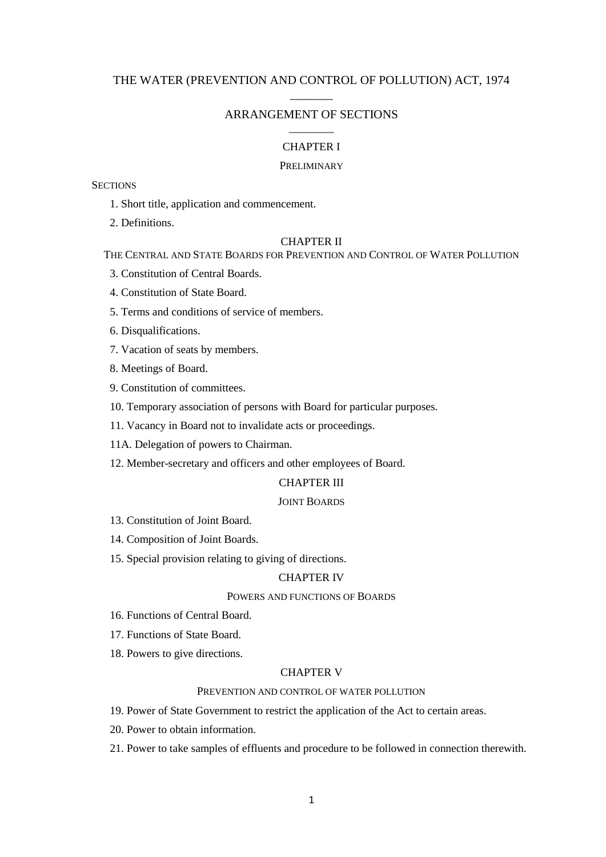# THE WATER (PREVENTION AND CONTROL OF POLLUTION) ACT, 1974  $\overline{\phantom{a}}$

# ARRANGEMENT OF SECTIONS  $\overline{\phantom{a}}$

# CHAPTER I

### PRELIMINARY

**SECTIONS** 

- 1. Short title, application and commencement.
- 2. Definitions.

### CHAPTER II

## THE CENTRAL AND STATE BOARDS FOR PREVENTION AND CONTROL OF WATER POLLUTION

- 3. Constitution of Central Boards.
- 4. Constitution of State Board.
- 5. Terms and conditions of service of members.
- 6. Disqualifications.
- 7. Vacation of seats by members.
- 8. Meetings of Board.
- 9. Constitution of committees.
- 10. Temporary association of persons with Board for particular purposes.
- 11. Vacancy in Board not to invalidate acts or proceedings.
- 11A. Delegation of powers to Chairman.
- 12. Member-secretary and officers and other employees of Board.

# CHAPTER III

# JOINT BOARDS

- 13. Constitution of Joint Board.
- 14. Composition of Joint Boards.
- 15. Special provision relating to giving of directions.

### CHAPTER IV

### POWERS AND FUNCTIONS OF BOARDS

- 16. Functions of Central Board.
- 17. Functions of State Board.
- 18. Powers to give directions.

### CHAPTER V

#### PREVENTION AND CONTROL OF WATER POLLUTION

- 19. Power of State Government to restrict the application of the Act to certain areas.
- 20. Power to obtain information.
- 21. Power to take samples of effluents and procedure to be followed in connection therewith.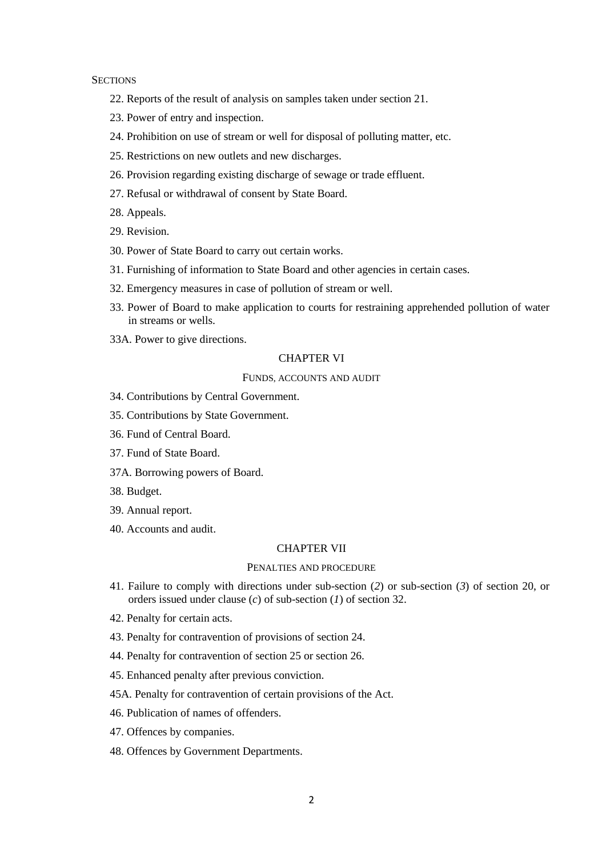**SECTIONS** 

- 22. Reports of the result of analysis on samples taken under section 21.
- 23. Power of entry and inspection.
- 24. Prohibition on use of stream or well for disposal of polluting matter, etc.
- 25. Restrictions on new outlets and new discharges.
- 26. Provision regarding existing discharge of sewage or trade effluent.
- 27. Refusal or withdrawal of consent by State Board.
- 28. Appeals.
- 29. Revision.
- 30. Power of State Board to carry out certain works.
- 31. Furnishing of information to State Board and other agencies in certain cases.
- 32. Emergency measures in case of pollution of stream or well.
- 33. Power of Board to make application to courts for restraining apprehended pollution of water in streams or wells.
- 33A. Power to give directions.

## CHAPTER VI

### FUNDS, ACCOUNTS AND AUDIT

- 34. Contributions by Central Government.
- 35. Contributions by State Government.
- 36. Fund of Central Board.
- 37. Fund of State Board.
- 37A. Borrowing powers of Board.
- 38. Budget.
- 39. Annual report.
- 40. Accounts and audit.

#### CHAPTER VII

### PENALTIES AND PROCEDURE

- 41. Failure to comply with directions under sub-section (*2*) or sub-section (*3*) of section 20, or orders issued under clause (*c*) of sub-section (*1*) of section 32.
- 42. Penalty for certain acts.
- 43. Penalty for contravention of provisions of section 24.
- 44. Penalty for contravention of section 25 or section 26.
- 45. Enhanced penalty after previous conviction.
- 45A. Penalty for contravention of certain provisions of the Act.
- 46. Publication of names of offenders.
- 47. Offences by companies.
- 48. Offences by Government Departments.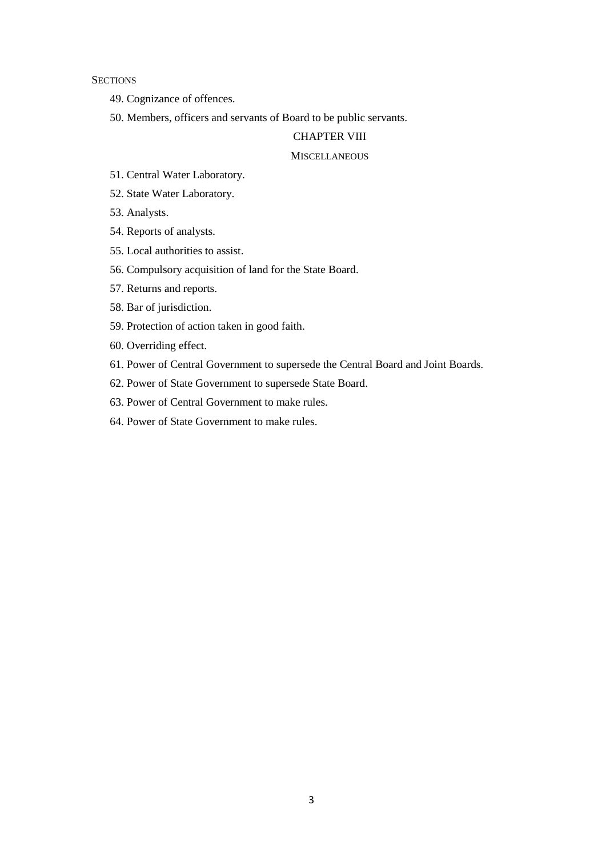## **SECTIONS**

- 49. Cognizance of offences.
- 50. Members, officers and servants of Board to be public servants.

### CHAPTER VIII

## **MISCELLANEOUS**

- 51. Central Water Laboratory.
- 52. State Water Laboratory.
- 53. Analysts.
- 54. Reports of analysts.
- 55. Local authorities to assist.
- 56. Compulsory acquisition of land for the State Board.
- 57. Returns and reports.
- 58. Bar of jurisdiction.
- 59. Protection of action taken in good faith.
- 60. Overriding effect.
- 61. Power of Central Government to supersede the Central Board and Joint Boards.
- 62. Power of State Government to supersede State Board.
- 63. Power of Central Government to make rules.
- 64. Power of State Government to make rules.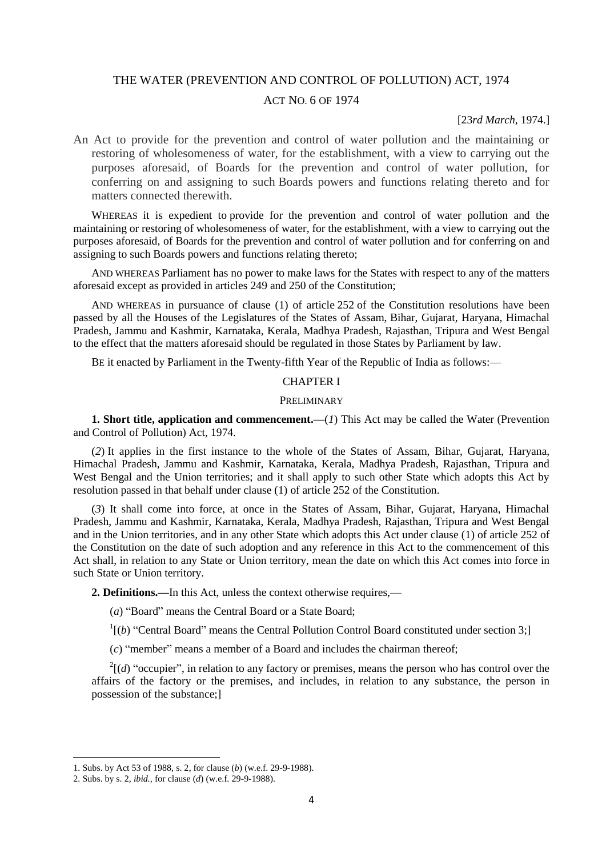### THE WATER (PREVENTION AND CONTROL OF POLLUTION) ACT, 1974

# ACT NO. 6 OF 1974

### [23*rd March,* 1974.]

An Act to provide for the prevention and control of water pollution and the maintaining or restoring of wholesomeness of water, for the establishment, with a view to carrying out the purposes aforesaid, of Boards for the prevention and control of water pollution, for conferring on and assigning to such Boards powers and functions relating thereto and for matters connected therewith.

WHEREAS it is expedient to provide for the prevention and control of water pollution and the maintaining or restoring of wholesomeness of water, for the establishment, with a view to carrying out the purposes aforesaid, of Boards for the prevention and control of water pollution and for conferring on and assigning to such Boards powers and functions relating thereto;

AND WHEREAS Parliament has no power to make laws for the States with respect to any of the matters aforesaid except as provided in articles 249 and 250 of the Constitution;

AND WHEREAS in pursuance of clause (1) of article 252 of the Constitution resolutions have been passed by all the Houses of the Legislatures of the States of Assam, Bihar, Gujarat, Haryana, Himachal Pradesh, Jammu and Kashmir, Karnataka, Kerala, Madhya Pradesh, Rajasthan, Tripura and West Bengal to the effect that the matters aforesaid should be regulated in those States by Parliament by law.

BE it enacted by Parliament in the Twenty-fifth Year of the Republic of India as follows:—

#### CHAPTER I

### **PRELIMINARY**

**1. Short title, application and commencement.—(***1***) This Act may be called the Water (Prevention** and Control of Pollution) Act, 1974.

(*2*) It applies in the first instance to the whole of the States of Assam, Bihar, Gujarat, Haryana, Himachal Pradesh, Jammu and Kashmir, Karnataka, Kerala, Madhya Pradesh, Rajasthan, Tripura and West Bengal and the Union territories; and it shall apply to such other State which adopts this Act by resolution passed in that behalf under clause (1) of article 252 of the Constitution.

(*3*) It shall come into force, at once in the States of Assam, Bihar, Gujarat, Haryana, Himachal Pradesh, Jammu and Kashmir, Karnataka, Kerala, Madhya Pradesh, Rajasthan, Tripura and West Bengal and in the Union territories, and in any other State which adopts this Act under clause (1) of article 252 of the Constitution on the date of such adoption and any reference in this Act to the commencement of this Act shall, in relation to any State or Union territory, mean the date on which this Act comes into force in such State or Union territory.

**2. Definitions.—**In this Act, unless the context otherwise requires,—

(*a*) "Board" means the Central Board or a State Board;

 $\Gamma$ <sup>1</sup>[(*b*) "Central Board" means the Central Pollution Control Board constituted under section 3;]

(*c*) "member" means a member of a Board and includes the chairman thereof;

 $^{2}$ [(*d*) "occupier", in relation to any factory or premises, means the person who has control over the affairs of the factory or the premises, and includes, in relation to any substance, the person in possession of the substance;]

<sup>1.</sup> Subs. by Act 53 of 1988, s. 2, for clause (*b*) (w.e.f. 29-9-1988).

<sup>2.</sup> Subs. by s. 2, *ibid.,* for clause (*d*) (w.e.f. 29-9-1988).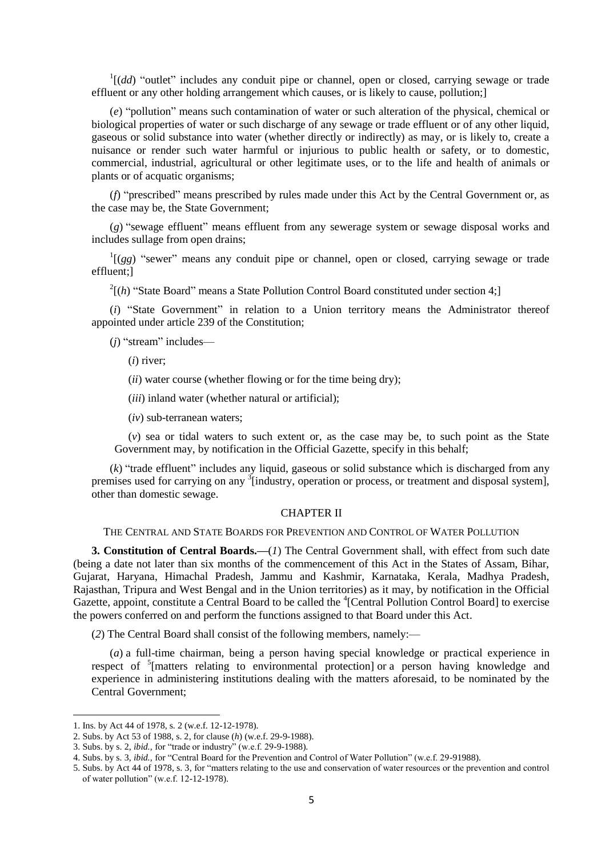$\int$ <sup>1</sup>[(*dd*) "outlet" includes any conduit pipe or channel, open or closed, carrying sewage or trade effluent or any other holding arrangement which causes, or is likely to cause, pollution;]

(*e*) "pollution" means such contamination of water or such alteration of the physical, chemical or biological properties of water or such discharge of any sewage or trade effluent or of any other liquid, gaseous or solid substance into water (whether directly or indirectly) as may, or is likely to, create a nuisance or render such water harmful or injurious to public health or safety, or to domestic, commercial, industrial, agricultural or other legitimate uses, or to the life and health of animals or plants or of acquatic organisms;

(*f*) "prescribed" means prescribed by rules made under this Act by the Central Government or, as the case may be, the State Government;

(*g*) "sewage effluent" means effluent from any sewerage system or sewage disposal works and includes sullage from open drains;

 $\log$ <sup>1</sup>[(*gg*) "sewer" means any conduit pipe or channel, open or closed, carrying sewage or trade effluent;]

 $2^{2}[(h)$  "State Board" means a State Pollution Control Board constituted under section 4;]

(*i*) "State Government" in relation to a Union territory means the Administrator thereof appointed under article 239 of the Constitution;

(*j*) "stream" includes—

(*i*) river;

(*ii*) water course (whether flowing or for the time being dry);

(*iii*) inland water (whether natural or artificial);

(*iv*) sub-terranean waters;

(*v*) sea or tidal waters to such extent or, as the case may be, to such point as the State Government may, by notification in the Official Gazette, specify in this behalf;

(*k*) "trade effluent" includes any liquid, gaseous or solid substance which is discharged from any premises used for carrying on any <sup>3</sup>[industry, operation or process, or treatment and disposal system], other than domestic sewage.

#### CHAPTER II

# THE CENTRAL AND STATE BOARDS FOR PREVENTION AND CONTROL OF WATER POLLUTION

**3. Constitution of Central Boards.—**(*1*) The Central Government shall, with effect from such date (being a date not later than six months of the commencement of this Act in the States of Assam, Bihar, Gujarat, Haryana, Himachal Pradesh, Jammu and Kashmir, Karnataka, Kerala, Madhya Pradesh, Rajasthan, Tripura and West Bengal and in the Union territories) as it may, by notification in the Official Gazette, appoint, constitute a Central Board to be called the <sup>4</sup>[Central Pollution Control Board] to exercise the powers conferred on and perform the functions assigned to that Board under this Act.

(*2*) The Central Board shall consist of the following members, namely:—

(*a*) a full-time chairman, being a person having special knowledge or practical experience in respect of <sup>5</sup>[matters relating to environmental protection] or a person having knowledge and experience in administering institutions dealing with the matters aforesaid, to be nominated by the Central Government;

<sup>1.</sup> Ins. by Act 44 of 1978, s. 2 (w.e.f. 12-12-1978).

<sup>2.</sup> Subs. by Act 53 of 1988, s. 2, for clause (*h*) (w.e.f. 29-9-1988).

<sup>3.</sup> Subs. by s. 2, *ibid.,* for "trade or industry" (w.e.f. 29-9-1988).

<sup>4.</sup> Subs. by s. 3, *ibid.,* for "Central Board for the Prevention and Control of Water Pollution" (w.e.f. 29-91988).

<sup>5.</sup> Subs. by Act 44 of 1978, s. 3, for "matters relating to the use and conservation of water resources or the prevention and control of water pollution" (w.e.f. 12-12-1978).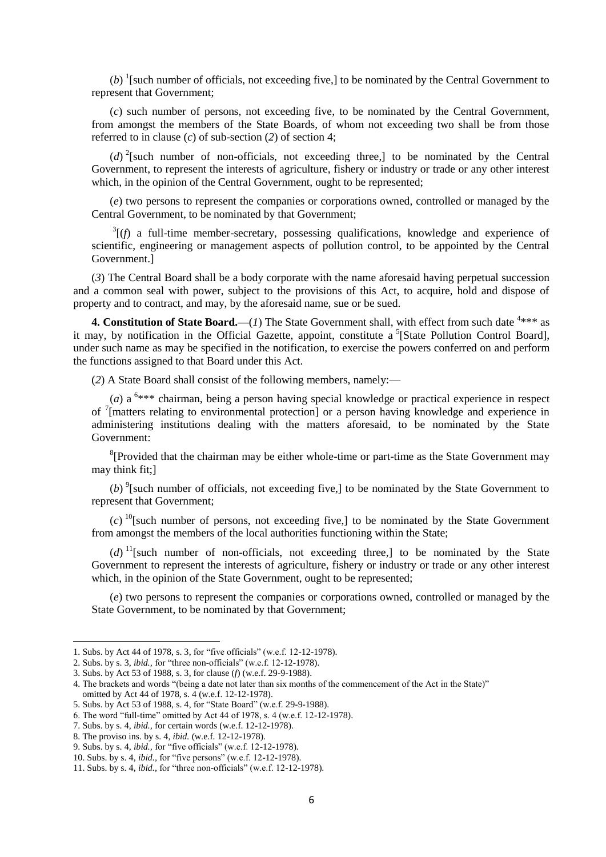$(b)$  <sup>1</sup>[such number of officials, not exceeding five,] to be nominated by the Central Government to represent that Government;

(*c*) such number of persons, not exceeding five, to be nominated by the Central Government, from amongst the members of the State Boards, of whom not exceeding two shall be from those referred to in clause (*c*) of sub-section (*2*) of section 4;

 $(d)$ <sup>2</sup>[such number of non-officials, not exceeding three,] to be nominated by the Central Government, to represent the interests of agriculture, fishery or industry or trade or any other interest which, in the opinion of the Central Government, ought to be represented;

(*e*) two persons to represent the companies or corporations owned, controlled or managed by the Central Government, to be nominated by that Government;

 $3(f)$  a full-time member-secretary, possessing qualifications, knowledge and experience of scientific, engineering or management aspects of pollution control, to be appointed by the Central Government.]

(*3*) The Central Board shall be a body corporate with the name aforesaid having perpetual succession and a common seal with power, subject to the provisions of this Act, to acquire, hold and dispose of property and to contract, and may, by the aforesaid name, sue or be sued.

4. Constitution of State Board.—(1) The State Government shall, with effect from such date <sup>4\*\*\*</sup> as it may, by notification in the Official Gazette, appoint, constitute a <sup>5</sup>[State Pollution Control Board], under such name as may be specified in the notification, to exercise the powers conferred on and perform the functions assigned to that Board under this Act.

(*2*) A State Board shall consist of the following members, namely:—

(*a*)  $a^{6***}$  chairman, being a person having special knowledge or practical experience in respect of <sup>7</sup>[matters relating to environmental protection] or a person having knowledge and experience in administering institutions dealing with the matters aforesaid, to be nominated by the State Government:

 ${}^{8}$ [Provided that the chairman may be either whole-time or part-time as the State Government may may think fit;]

 $(b)$ <sup>9</sup>[such number of officials, not exceeding five,] to be nominated by the State Government to represent that Government;

 $(c)$  <sup>10</sup>[such number of persons, not exceeding five,] to be nominated by the State Government from amongst the members of the local authorities functioning within the State;

 $(d)$ <sup>11</sup>[such number of non-officials, not exceeding three,] to be nominated by the State Government to represent the interests of agriculture, fishery or industry or trade or any other interest which, in the opinion of the State Government, ought to be represented;

(*e*) two persons to represent the companies or corporations owned, controlled or managed by the State Government, to be nominated by that Government;

 $\overline{a}$ 

<sup>1.</sup> Subs. by Act 44 of 1978, s. 3, for "five officials" (w.e.f. 12-12-1978).

<sup>2.</sup> Subs. by s. 3, *ibid.,* for "three non-officials" (w.e.f. 12-12-1978).

<sup>3.</sup> Subs. by Act 53 of 1988, s. 3, for clause (*f*) (w.e.f. 29-9-1988).

<sup>4.</sup> The brackets and words "(being a date not later than six months of the commencement of the Act in the State)" omitted by Act 44 of 1978, s. 4 (w.e.f. 12-12-1978).

<sup>5.</sup> Subs. by Act 53 of 1988, s. 4, for "State Board" (w.e.f. 29-9-1988).

<sup>6.</sup> The word "full-time" omitted by Act 44 of 1978, s. 4 (w.e.f. 12-12-1978).

<sup>7.</sup> Subs. by s. 4, *ibid.,* for certain words (w.e.f. 12-12-1978).

<sup>8.</sup> The proviso ins. by s. 4, *ibid.* (w.e.f. 12-12-1978).

<sup>9.</sup> Subs. by s. 4, *ibid.,* for "five officials" (w.e.f. 12-12-1978).

<sup>10.</sup> Subs. by s. 4, *ibid.,* for "five persons" (w.e.f. 12-12-1978).

<sup>11.</sup> Subs. by s. 4, *ibid.,* for "three non-officials" (w.e.f. 12-12-1978).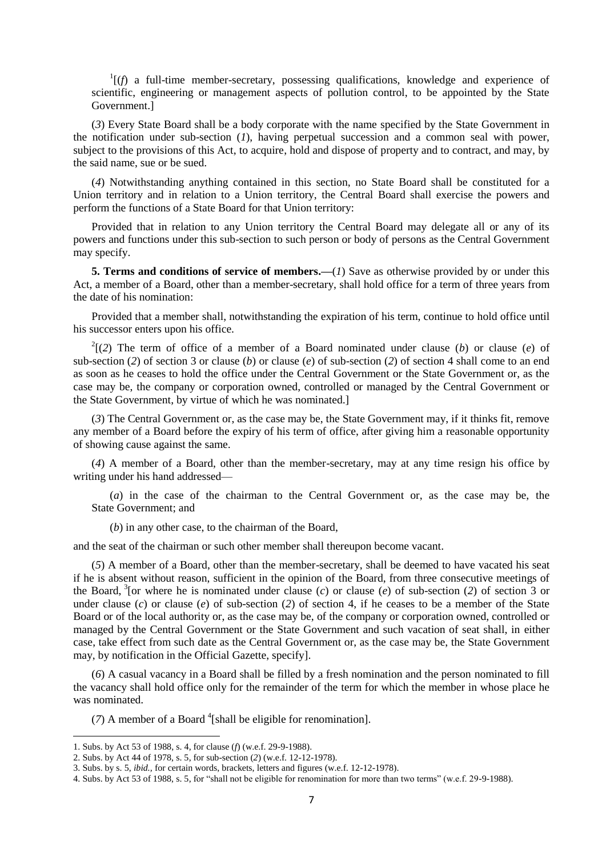$I(f)$  a full-time member-secretary, possessing qualifications, knowledge and experience of scientific, engineering or management aspects of pollution control, to be appointed by the State Government.]

(*3*) Every State Board shall be a body corporate with the name specified by the State Government in the notification under sub-section (*1*), having perpetual succession and a common seal with power, subject to the provisions of this Act, to acquire, hold and dispose of property and to contract, and may, by the said name, sue or be sued.

(*4*) Notwithstanding anything contained in this section, no State Board shall be constituted for a Union territory and in relation to a Union territory, the Central Board shall exercise the powers and perform the functions of a State Board for that Union territory:

Provided that in relation to any Union territory the Central Board may delegate all or any of its powers and functions under this sub-section to such person or body of persons as the Central Government may specify.

**5. Terms and conditions of service of members.—(***1***) Save as otherwise provided by or under this** Act, a member of a Board, other than a member-secretary, shall hold office for a term of three years from the date of his nomination:

Provided that a member shall, notwithstanding the expiration of his term, continue to hold office until his successor enters upon his office.

 $2^{2}$ [(2) The term of office of a member of a Board nominated under clause (*b*) or clause (*e*) of sub-section (*2*) of section 3 or clause (*b*) or clause (*e*) of sub-section (*2*) of section 4 shall come to an end as soon as he ceases to hold the office under the Central Government or the State Government or, as the case may be, the company or corporation owned, controlled or managed by the Central Government or the State Government, by virtue of which he was nominated.]

(*3*) The Central Government or, as the case may be, the State Government may, if it thinks fit, remove any member of a Board before the expiry of his term of office, after giving him a reasonable opportunity of showing cause against the same.

(*4*) A member of a Board, other than the member-secretary, may at any time resign his office by writing under his hand addressed—

(*a*) in the case of the chairman to the Central Government or, as the case may be, the State Government; and

(*b*) in any other case, to the chairman of the Board,

and the seat of the chairman or such other member shall thereupon become vacant.

(*5*) A member of a Board, other than the member-secretary, shall be deemed to have vacated his seat if he is absent without reason, sufficient in the opinion of the Board, from three consecutive meetings of the Board, <sup>3</sup> [or where he is nominated under clause (*c*) or clause (*e*) of sub-section (*2*) of section 3 or under clause (*c*) or clause (*e*) of sub-section (*2*) of section 4, if he ceases to be a member of the State Board or of the local authority or, as the case may be, of the company or corporation owned, controlled or managed by the Central Government or the State Government and such vacation of seat shall, in either case, take effect from such date as the Central Government or, as the case may be, the State Government may, by notification in the Official Gazette, specify].

(*6*) A casual vacancy in a Board shall be filled by a fresh nomination and the person nominated to fill the vacancy shall hold office only for the remainder of the term for which the member in whose place he was nominated.

 $(7)$  A member of a Board<sup>4</sup>[shall be eligible for renomination].

<sup>1.</sup> Subs. by Act 53 of 1988, s. 4, for clause (*f*) (w.e.f. 29-9-1988).

<sup>2.</sup> Subs. by Act 44 of 1978, s. 5, for sub-section (*2*) (w.e.f. 12-12-1978).

<sup>3.</sup> Subs. by s. 5, *ibid.,* for certain words, brackets, letters and figures (w.e.f. 12-12-1978).

<sup>4.</sup> Subs. by Act 53 of 1988, s. 5, for "shall not be eligible for renomination for more than two terms" (w.e.f. 29-9-1988).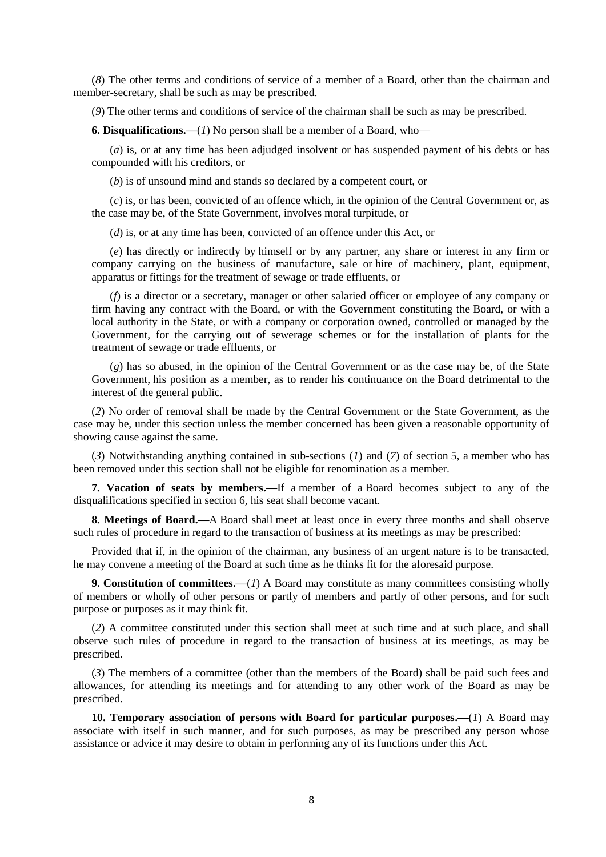(*8*) The other terms and conditions of service of a member of a Board, other than the chairman and member-secretary, shall be such as may be prescribed.

(*9*) The other terms and conditions of service of the chairman shall be such as may be prescribed.

**6. Disqualifications.—**(*1*) No person shall be a member of a Board, who—

(*a*) is, or at any time has been adjudged insolvent or has suspended payment of his debts or has compounded with his creditors, or

(*b*) is of unsound mind and stands so declared by a competent court, or

(*c*) is, or has been, convicted of an offence which, in the opinion of the Central Government or, as the case may be, of the State Government, involves moral turpitude, or

(*d*) is, or at any time has been, convicted of an offence under this Act, or

(*e*) has directly or indirectly by himself or by any partner, any share or interest in any firm or company carrying on the business of manufacture, sale or hire of machinery, plant, equipment, apparatus or fittings for the treatment of sewage or trade effluents, or

(*f*) is a director or a secretary, manager or other salaried officer or employee of any company or firm having any contract with the Board, or with the Government constituting the Board, or with a local authority in the State, or with a company or corporation owned, controlled or managed by the Government, for the carrying out of sewerage schemes or for the installation of plants for the treatment of sewage or trade effluents, or

(*g*) has so abused, in the opinion of the Central Government or as the case may be, of the State Government, his position as a member, as to render his continuance on the Board detrimental to the interest of the general public.

(*2*) No order of removal shall be made by the Central Government or the State Government, as the case may be, under this section unless the member concerned has been given a reasonable opportunity of showing cause against the same.

(*3*) Notwithstanding anything contained in sub-sections (*1*) and (*7*) of section 5, a member who has been removed under this section shall not be eligible for renomination as a member.

**7. Vacation of seats by members.—**If a member of a Board becomes subject to any of the disqualifications specified in section 6*,* his seat shall become vacant.

**8. Meetings of Board.—**A Board shall meet at least once in every three months and shall observe such rules of procedure in regard to the transaction of business at its meetings as may be prescribed:

Provided that if, in the opinion of the chairman, any business of an urgent nature is to be transacted, he may convene a meeting of the Board at such time as he thinks fit for the aforesaid purpose.

**9. Constitution of committees.—**(*1*) A Board may constitute as many committees consisting wholly of members or wholly of other persons or partly of members and partly of other persons, and for such purpose or purposes as it may think fit.

(*2*) A committee constituted under this section shall meet at such time and at such place, and shall observe such rules of procedure in regard to the transaction of business at its meetings, as may be prescribed.

(*3*) The members of a committee (other than the members of the Board) shall be paid such fees and allowances, for attending its meetings and for attending to any other work of the Board as may be prescribed.

**10. Temporary association of persons with Board for particular purposes.—**(*1*) A Board may associate with itself in such manner, and for such purposes, as may be prescribed any person whose assistance or advice it may desire to obtain in performing any of its functions under this Act.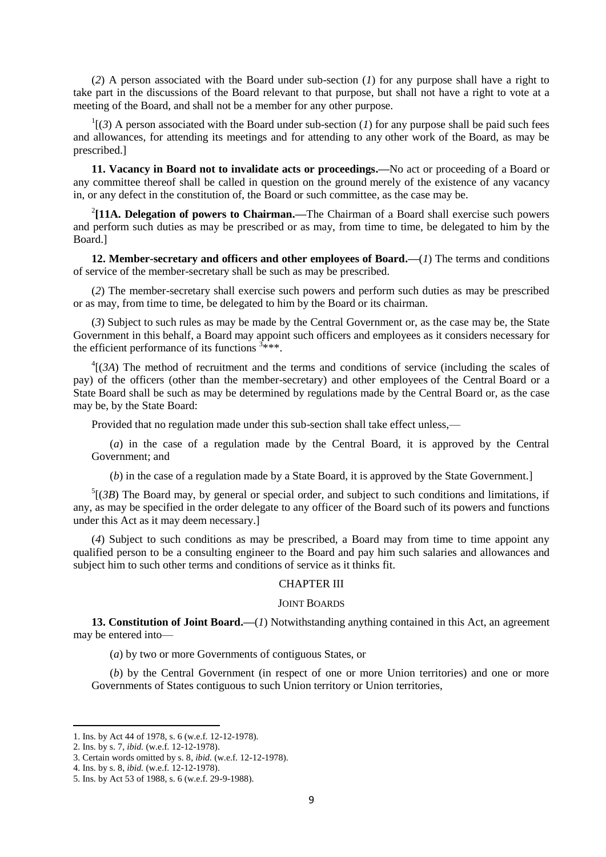(*2*) A person associated with the Board under sub-section (*1*) for any purpose shall have a right to take part in the discussions of the Board relevant to that purpose, but shall not have a right to vote at a meeting of the Board, and shall not be a member for any other purpose.

 $\frac{1}{3}$  (3) A person associated with the Board under sub-section (*1*) for any purpose shall be paid such fees and allowances, for attending its meetings and for attending to any other work of the Board, as may be prescribed.]

**11. Vacancy in Board not to invalidate acts or proceedings.—**No act or proceeding of a Board or any committee thereof shall be called in question on the ground merely of the existence of any vacancy in, or any defect in the constitution of, the Board or such committee, as the case may be.

<sup>2</sup>[11A. Delegation of powers to Chairman.—The Chairman of a Board shall exercise such powers and perform such duties as may be prescribed or as may, from time to time, be delegated to him by the Board.]

**12. Member-secretary and officers and other employees of Board.—**(*1*) The terms and conditions of service of the member-secretary shall be such as may be prescribed.

(*2*) The member-secretary shall exercise such powers and perform such duties as may be prescribed or as may, from time to time, be delegated to him by the Board or its chairman.

(*3*) Subject to such rules as may be made by the Central Government or, as the case may be, the State Government in this behalf, a Board may appoint such officers and employees as it considers necessary for the efficient performance of its functions  $3***$ .

 ${}^{4}$ [(*3A*) The method of recruitment and the terms and conditions of service (including the scales of pay) of the officers (other than the member-secretary) and other employees of the Central Board or a State Board shall be such as may be determined by regulations made by the Central Board or, as the case may be, by the State Board:

Provided that no regulation made under this sub-section shall take effect unless,—

(*a*) in the case of a regulation made by the Central Board, it is approved by the Central Government; and

(*b*) in the case of a regulation made by a State Board, it is approved by the State Government.]

 $<sup>5</sup>$ [(*3B*) The Board may, by general or special order, and subject to such conditions and limitations, if</sup> any, as may be specified in the order delegate to any officer of the Board such of its powers and functions under this Act as it may deem necessary.]

(*4*) Subject to such conditions as may be prescribed, a Board may from time to time appoint any qualified person to be a consulting engineer to the Board and pay him such salaries and allowances and subject him to such other terms and conditions of service as it thinks fit.

# CHAPTER III

### JOINT BOARDS

**13. Constitution of Joint Board.—**(*1*) Notwithstanding anything contained in this Act, an agreement may be entered into—

(*a*) by two or more Governments of contiguous States, or

(*b*) by the Central Government (in respect of one or more Union territories) and one or more Governments of States contiguous to such Union territory or Union territories,

<sup>1.</sup> Ins. by Act 44 of 1978, s. 6 (w.e.f. 12-12-1978).

<sup>2.</sup> Ins. by s. 7, *ibid.* (w.e.f. 12-12-1978).

<sup>3.</sup> Certain words omitted by s. 8, *ibid.* (w.e.f. 12-12-1978).

<sup>4.</sup> Ins. by s. 8, *ibid.* (w.e.f. 12-12-1978).

<sup>5.</sup> Ins. by Act 53 of 1988, s. 6 (w.e.f. 29-9-1988).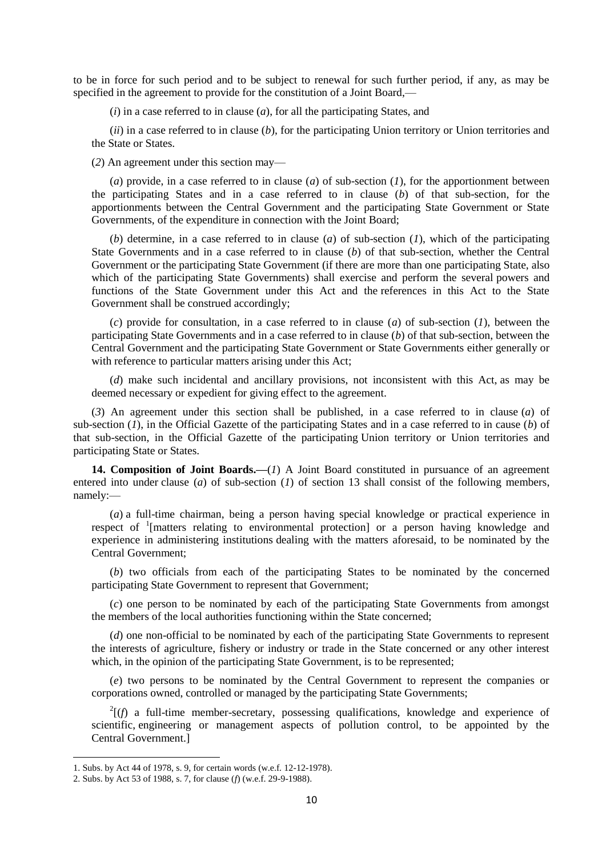to be in force for such period and to be subject to renewal for such further period, if any, as may be specified in the agreement to provide for the constitution of a Joint Board,—

(*i*) in a case referred to in clause (*a*), for all the participating States, and

(*ii*) in a case referred to in clause (*b*), for the participating Union territory or Union territories and the State or States.

(*2*) An agreement under this section may—

(*a*) provide, in a case referred to in clause (*a*) of sub-section (*1*), for the apportionment between the participating States and in a case referred to in clause (*b*) of that sub-section, for the apportionments between the Central Government and the participating State Government or State Governments, of the expenditure in connection with the Joint Board;

(*b*) determine, in a case referred to in clause (*a*) of sub-section (*1*), which of the participating State Governments and in a case referred to in clause (*b*) of that sub-section, whether the Central Government or the participating State Government (if there are more than one participating State, also which of the participating State Governments) shall exercise and perform the several powers and functions of the State Government under this Act and the references in this Act to the State Government shall be construed accordingly;

(*c*) provide for consultation, in a case referred to in clause (*a*) of sub-section (*1*), between the participating State Governments and in a case referred to in clause (*b*) of that sub-section, between the Central Government and the participating State Government or State Governments either generally or with reference to particular matters arising under this Act;

(*d*) make such incidental and ancillary provisions, not inconsistent with this Act, as may be deemed necessary or expedient for giving effect to the agreement.

(*3*) An agreement under this section shall be published, in a case referred to in clause (*a*) of sub-section (*1*), in the Official Gazette of the participating States and in a case referred to in cause (*b*) of that sub-section, in the Official Gazette of the participating Union territory or Union territories and participating State or States.

**14. Composition of Joint Boards.—**(*1*) A Joint Board constituted in pursuance of an agreement entered into under clause (*a*) of sub-section (*1*) of section 13 shall consist of the following members, namely:—

(*a*) a full-time chairman, being a person having special knowledge or practical experience in respect of <sup>1</sup>[matters relating to environmental protection] or a person having knowledge and experience in administering institutions dealing with the matters aforesaid, to be nominated by the Central Government;

(*b*) two officials from each of the participating States to be nominated by the concerned participating State Government to represent that Government;

(*c*) one person to be nominated by each of the participating State Governments from amongst the members of the local authorities functioning within the State concerned;

(*d*) one non-official to be nominated by each of the participating State Governments to represent the interests of agriculture, fishery or industry or trade in the State concerned or any other interest which, in the opinion of the participating State Government, is to be represented;

(*e*) two persons to be nominated by the Central Government to represent the companies or corporations owned, controlled or managed by the participating State Governments;

 $2(f)$  a full-time member-secretary, possessing qualifications, knowledge and experience of scientific, engineering or management aspects of pollution control, to be appointed by the Central Government.]

<sup>1.</sup> Subs. by Act 44 of 1978, s. 9, for certain words (w.e.f. 12-12-1978).

<sup>2.</sup> Subs. by Act 53 of 1988, s. 7, for clause (*f*) (w.e.f. 29-9-1988).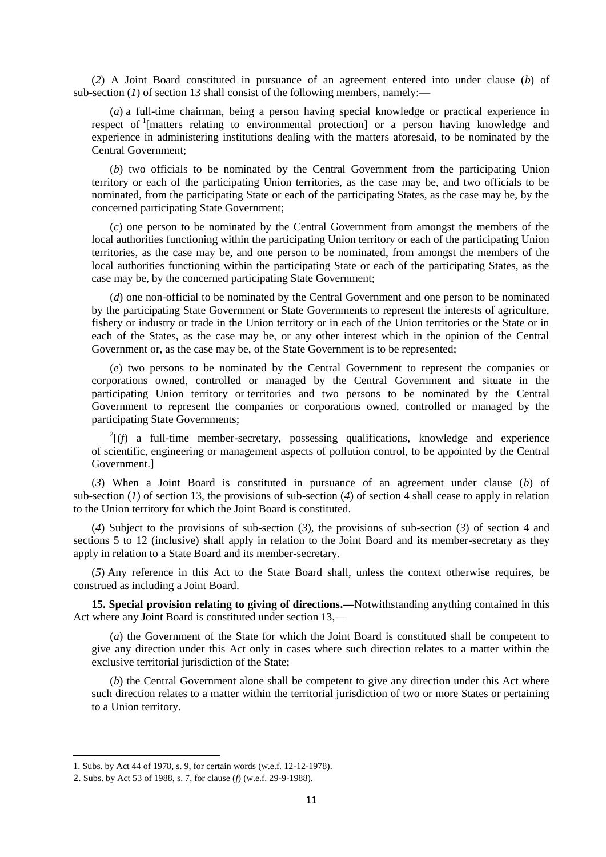(*2*) A Joint Board constituted in pursuance of an agreement entered into under clause (*b*) of sub-section  $(I)$  of section 13 shall consist of the following members, namely:—

(*a*) a full-time chairman, being a person having special knowledge or practical experience in respect of <sup>1</sup>[matters relating to environmental protection] or a person having knowledge and experience in administering institutions dealing with the matters aforesaid, to be nominated by the Central Government;

(*b*) two officials to be nominated by the Central Government from the participating Union territory or each of the participating Union territories, as the case may be, and two officials to be nominated, from the participating State or each of the participating States, as the case may be, by the concerned participating State Government;

(*c*) one person to be nominated by the Central Government from amongst the members of the local authorities functioning within the participating Union territory or each of the participating Union territories, as the case may be, and one person to be nominated, from amongst the members of the local authorities functioning within the participating State or each of the participating States, as the case may be, by the concerned participating State Government;

(*d*) one non-official to be nominated by the Central Government and one person to be nominated by the participating State Government or State Governments to represent the interests of agriculture, fishery or industry or trade in the Union territory or in each of the Union territories or the State or in each of the States, as the case may be, or any other interest which in the opinion of the Central Government or, as the case may be, of the State Government is to be represented;

(*e*) two persons to be nominated by the Central Government to represent the companies or corporations owned, controlled or managed by the Central Government and situate in the participating Union territory or territories and two persons to be nominated by the Central Government to represent the companies or corporations owned, controlled or managed by the participating State Governments;

 $2(f)$  a full-time member-secretary, possessing qualifications, knowledge and experience of scientific, engineering or management aspects of pollution control, to be appointed by the Central Government.]

(*3*) When a Joint Board is constituted in pursuance of an agreement under clause (*b*) of sub-section (*1*) of section 13, the provisions of sub-section (*4*) of section 4 shall cease to apply in relation to the Union territory for which the Joint Board is constituted.

(*4*) Subject to the provisions of sub-section (*3*), the provisions of sub-section (*3*) of section 4 and sections 5 to 12 (inclusive) shall apply in relation to the Joint Board and its member-secretary as they apply in relation to a State Board and its member-secretary.

(*5*) Any reference in this Act to the State Board shall, unless the context otherwise requires, be construed as including a Joint Board.

**15. Special provision relating to giving of directions.—**Notwithstanding anything contained in this Act where any Joint Board is constituted under section 13,—

(*a*) the Government of the State for which the Joint Board is constituted shall be competent to give any direction under this Act only in cases where such direction relates to a matter within the exclusive territorial jurisdiction of the State;

(*b*) the Central Government alone shall be competent to give any direction under this Act where such direction relates to a matter within the territorial jurisdiction of two or more States or pertaining to a Union territory.

<sup>1.</sup> Subs. by Act 44 of 1978, s. 9, for certain words (w.e.f. 12-12-1978).

<sup>2.</sup> Subs. by Act 53 of 1988, s. 7, for clause (*f*) (w.e.f. 29-9-1988).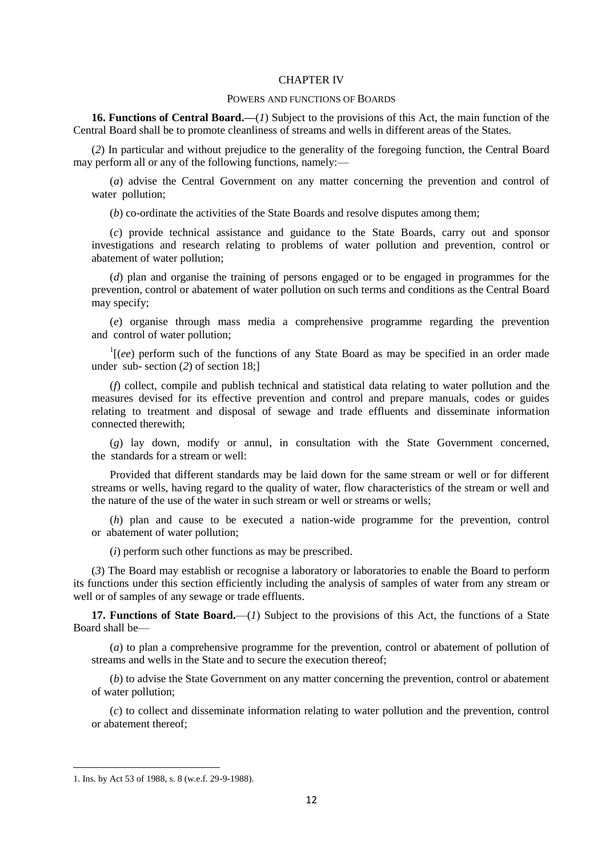#### CHAPTER IV

### POWERS AND FUNCTIONS OF BOARDS

**16. Functions of Central Board.—**(*1*) Subject to the provisions of this Act, the main function of the Central Board shall be to promote cleanliness of streams and wells in different areas of the States.

(*2*) In particular and without prejudice to the generality of the foregoing function, the Central Board may perform all or any of the following functions, namely:—

(*a*) advise the Central Government on any matter concerning the prevention and control of water pollution;

(*b*) co-ordinate the activities of the State Boards and resolve disputes among them;

(*c*) provide technical assistance and guidance to the State Boards, carry out and sponsor investigations and research relating to problems of water pollution and prevention, control or abatement of water pollution;

(*d*) plan and organise the training of persons engaged or to be engaged in programmes for the prevention, control or abatement of water pollution on such terms and conditions as the Central Board may specify;

(*e*) organise through mass media a comprehensive programme regarding the prevention and control of water pollution;

 $I(ee)$  perform such of the functions of any State Board as may be specified in an order made under sub- section (*2*) of section 18;]

(*f*) collect, compile and publish technical and statistical data relating to water pollution and the measures devised for its effective prevention and control and prepare manuals, codes or guides relating to treatment and disposal of sewage and trade effluents and disseminate information connected therewith;

(*g*) lay down, modify or annul, in consultation with the State Government concerned, the standards for a stream or well:

Provided that different standards may be laid down for the same stream or well or for different streams or wells, having regard to the quality of water, flow characteristics of the stream or well and the nature of the use of the water in such stream or well or streams or wells;

(*h*) plan and cause to be executed a nation-wide programme for the prevention, control or abatement of water pollution;

(*i*) perform such other functions as may be prescribed.

(*3*) The Board may establish or recognise a laboratory or laboratories to enable the Board to perform its functions under this section efficiently including the analysis of samples of water from any stream or well or of samples of any sewage or trade effluents.

**17. Functions of State Board.**—(*1*) Subject to the provisions of this Act, the functions of a State Board shall be—

(*a*) to plan a comprehensive programme for the prevention, control or abatement of pollution of streams and wells in the State and to secure the execution thereof;

(*b*) to advise the State Government on any matter concerning the prevention, control or abatement of water pollution;

(*c*) to collect and disseminate information relating to water pollution and the prevention, control or abatement thereof;

<sup>1.</sup> Ins. by Act 53 of 1988, s. 8 (w.e.f. 29-9-1988).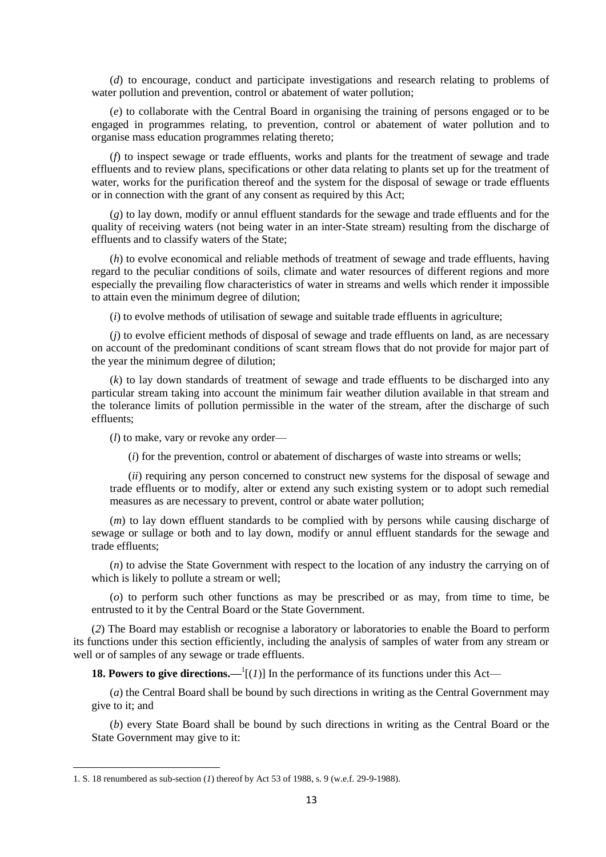(*d*) to encourage, conduct and participate investigations and research relating to problems of water pollution and prevention, control or abatement of water pollution;

(*e*) to collaborate with the Central Board in organising the training of persons engaged or to be engaged in programmes relating, to prevention, control or abatement of water pollution and to organise mass education programmes relating thereto;

(*f*) to inspect sewage or trade effluents, works and plants for the treatment of sewage and trade effluents and to review plans, specifications or other data relating to plants set up for the treatment of water, works for the purification thereof and the system for the disposal of sewage or trade effluents or in connection with the grant of any consent as required by this Act;

(*g*) to lay down, modify or annul effluent standards for the sewage and trade effluents and for the quality of receiving waters (not being water in an inter-State stream) resulting from the discharge of effluents and to classify waters of the State;

(*h*) to evolve economical and reliable methods of treatment of sewage and trade effluents, having regard to the peculiar conditions of soils, climate and water resources of different regions and more especially the prevailing flow characteristics of water in streams and wells which render it impossible to attain even the minimum degree of dilution;

(*i*) to evolve methods of utilisation of sewage and suitable trade effluents in agriculture;

(*j*) to evolve efficient methods of disposal of sewage and trade effluents on land, as are necessary on account of the predominant conditions of scant stream flows that do not provide for major part of the year the minimum degree of dilution;

(*k*) to lay down standards of treatment of sewage and trade effluents to be discharged into any particular stream taking into account the minimum fair weather dilution available in that stream and the tolerance limits of pollution permissible in the water of the stream, after the discharge of such effluents;

(*l*) to make, vary or revoke any order—

(*i*) for the prevention, control or abatement of discharges of waste into streams or wells;

(*ii*) requiring any person concerned to construct new systems for the disposal of sewage and trade effluents or to modify, alter or extend any such existing system or to adopt such remedial measures as are necessary to prevent, control or abate water pollution;

(*m*) to lay down effluent standards to be complied with by persons while causing discharge of sewage or sullage or both and to lay down, modify or annul effluent standards for the sewage and trade effluents;

(*n*) to advise the State Government with respect to the location of any industry the carrying on of which is likely to pollute a stream or well;

(*o*) to perform such other functions as may be prescribed or as may, from time to time, be entrusted to it by the Central Board or the State Government.

(*2*) The Board may establish or recognise a laboratory or laboratories to enable the Board to perform its functions under this section efficiently, including the analysis of samples of water from any stream or well or of samples of any sewage or trade effluents.

**18. Powers to give directions.**  $-\frac{1}{1}(1)$  In the performance of its functions under this Act—

(*a*) the Central Board shall be bound by such directions in writing as the Central Government may give to it; and

(*b*) every State Board shall be bound by such directions in writing as the Central Board or the State Government may give to it:

<sup>1.</sup> S. 18 renumbered as sub-section (*1*) thereof by Act 53 of 1988, s. 9 (w.e.f. 29-9-1988).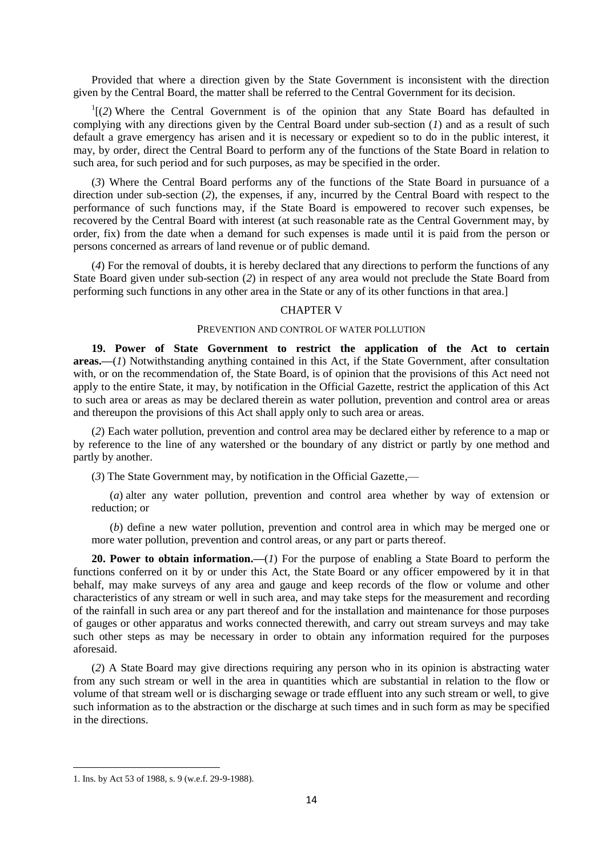Provided that where a direction given by the State Government is inconsistent with the direction given by the Central Board, the matter shall be referred to the Central Government for its decision.

 $I$ <sup>1</sup>[(2) Where the Central Government is of the opinion that any State Board has defaulted in complying with any directions given by the Central Board under sub-section (*1*) and as a result of such default a grave emergency has arisen and it is necessary or expedient so to do in the public interest, it may, by order, direct the Central Board to perform any of the functions of the State Board in relation to such area, for such period and for such purposes, as may be specified in the order.

(*3*) Where the Central Board performs any of the functions of the State Board in pursuance of a direction under sub-section (*2*), the expenses, if any, incurred by the Central Board with respect to the performance of such functions may, if the State Board is empowered to recover such expenses, be recovered by the Central Board with interest (at such reasonable rate as the Central Government may, by order, fix) from the date when a demand for such expenses is made until it is paid from the person or persons concerned as arrears of land revenue or of public demand.

(*4*) For the removal of doubts, it is hereby declared that any directions to perform the functions of any State Board given under sub-section (*2*) in respect of any area would not preclude the State Board from performing such functions in any other area in the State or any of its other functions in that area.]

### CHAPTER V

### PREVENTION AND CONTROL OF WATER POLLUTION

**19. Power of State Government to restrict the application of the Act to certain areas.—**(*1*) Notwithstanding anything contained in this Act, if the State Government, after consultation with, or on the recommendation of, the State Board, is of opinion that the provisions of this Act need not apply to the entire State, it may, by notification in the Official Gazette, restrict the application of this Act to such area or areas as may be declared therein as water pollution, prevention and control area or areas and thereupon the provisions of this Act shall apply only to such area or areas.

(*2*) Each water pollution, prevention and control area may be declared either by reference to a map or by reference to the line of any watershed or the boundary of any district or partly by one method and partly by another.

(*3*) The State Government may, by notification in the Official Gazette,—

(*a*) alter any water pollution, prevention and control area whether by way of extension or reduction; or

(*b*) define a new water pollution, prevention and control area in which may be merged one or more water pollution, prevention and control areas, or any part or parts thereof.

**20. Power to obtain information.—**(*1*) For the purpose of enabling a State Board to perform the functions conferred on it by or under this Act, the State Board or any officer empowered by it in that behalf, may make surveys of any area and gauge and keep records of the flow or volume and other characteristics of any stream or well in such area, and may take steps for the measurement and recording of the rainfall in such area or any part thereof and for the installation and maintenance for those purposes of gauges or other apparatus and works connected therewith, and carry out stream surveys and may take such other steps as may be necessary in order to obtain any information required for the purposes aforesaid.

(*2*) A State Board may give directions requiring any person who in its opinion is abstracting water from any such stream or well in the area in quantities which are substantial in relation to the flow or volume of that stream well or is discharging sewage or trade effluent into any such stream or well, to give such information as to the abstraction or the discharge at such times and in such form as may be specified in the directions.

<sup>1.</sup> Ins. by Act 53 of 1988, s. 9 (w.e.f. 29-9-1988).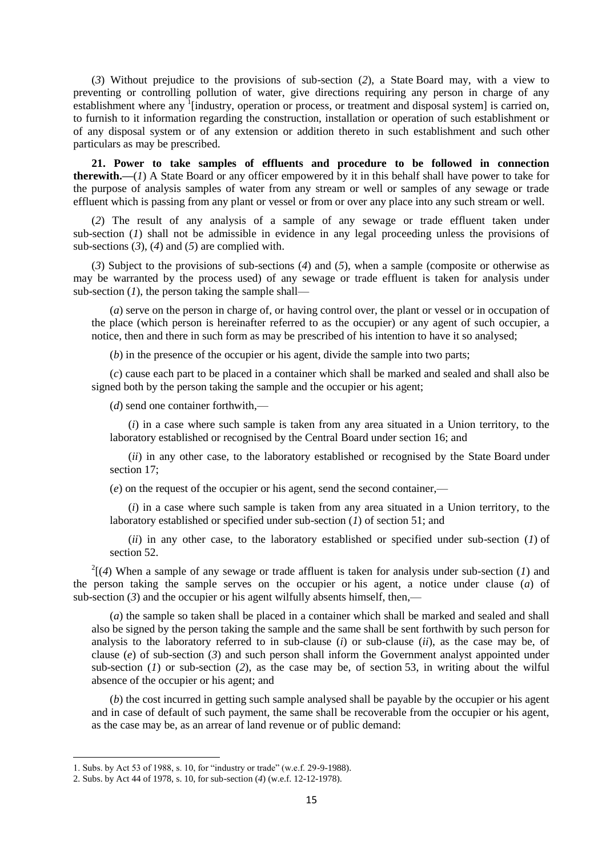(*3*) Without prejudice to the provisions of sub-section (*2*), a State Board may, with a view to preventing or controlling pollution of water, give directions requiring any person in charge of any establishment where any <sup>1</sup>[industry, operation or process, or treatment and disposal system] is carried on, to furnish to it information regarding the construction, installation or operation of such establishment or of any disposal system or of any extension or addition thereto in such establishment and such other particulars as may be prescribed.

**21. Power to take samples of effluents and procedure to be followed in connection therewith.—**(*1*) A State Board or any officer empowered by it in this behalf shall have power to take for the purpose of analysis samples of water from any stream or well or samples of any sewage or trade effluent which is passing from any plant or vessel or from or over any place into any such stream or well.

(*2*) The result of any analysis of a sample of any sewage or trade effluent taken under sub-section (*1*) shall not be admissible in evidence in any legal proceeding unless the provisions of sub-sections (*3*), (*4*) and (*5*) are complied with.

(*3*) Subject to the provisions of sub-sections (*4*) and (*5*), when a sample (composite or otherwise as may be warranted by the process used) of any sewage or trade effluent is taken for analysis under sub-section  $(I)$ , the person taking the sample shall—

(*a*) serve on the person in charge of, or having control over, the plant or vessel or in occupation of the place (which person is hereinafter referred to as the occupier) or any agent of such occupier, a notice, then and there in such form as may be prescribed of his intention to have it so analysed;

(*b*) in the presence of the occupier or his agent, divide the sample into two parts;

(*c*) cause each part to be placed in a container which shall be marked and sealed and shall also be signed both by the person taking the sample and the occupier or his agent;

(*d*) send one container forthwith,—

(*i*) in a case where such sample is taken from any area situated in a Union territory, to the laboratory established or recognised by the Central Board under section 16; and

(*ii*) in any other case, to the laboratory established or recognised by the State Board under section 17;

(*e*) on the request of the occupier or his agent, send the second container,—

(*i*) in a case where such sample is taken from any area situated in a Union territory, to the laboratory established or specified under sub-section (*1*) of section 51; and

(*ii*) in any other case, to the laboratory established or specified under sub-section (*1*) of section 52.

 $2\left[\left(4\right)$  When a sample of any sewage or trade affluent is taken for analysis under sub-section (*1*) and the person taking the sample serves on the occupier or his agent, a notice under clause (*a*) of sub-section  $(3)$  and the occupier or his agent wilfully absents himself, then,—

(*a*) the sample so taken shall be placed in a container which shall be marked and sealed and shall also be signed by the person taking the sample and the same shall be sent forthwith by such person for analysis to the laboratory referred to in sub-clause (*i*) or sub-clause (*ii*), as the case may be, of clause (*e*) of sub-section (*3*) and such person shall inform the Government analyst appointed under sub-section  $(1)$  or sub-section  $(2)$ , as the case may be, of section 53, in writing about the wilful absence of the occupier or his agent; and

(*b*) the cost incurred in getting such sample analysed shall be payable by the occupier or his agent and in case of default of such payment, the same shall be recoverable from the occupier or his agent, as the case may be, as an arrear of land revenue or of public demand:

<sup>1.</sup> Subs. by Act 53 of 1988, s. 10, for "industry or trade" (w.e.f. 29-9-1988).

<sup>2.</sup> Subs. by Act 44 of 1978, s. 10, for sub-section (*4*) (w.e.f. 12-12-1978).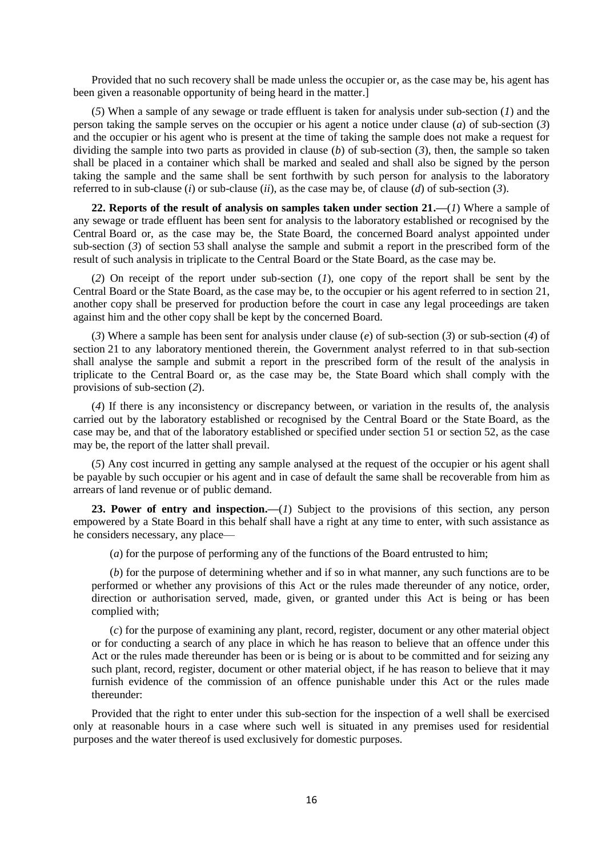Provided that no such recovery shall be made unless the occupier or, as the case may be, his agent has been given a reasonable opportunity of being heard in the matter.]

(*5*) When a sample of any sewage or trade effluent is taken for analysis under sub-section (*1*) and the person taking the sample serves on the occupier or his agent a notice under clause (*a*) of sub-section (*3*) and the occupier or his agent who is present at the time of taking the sample does not make a request for dividing the sample into two parts as provided in clause (*b*) of sub-section (*3*), then, the sample so taken shall be placed in a container which shall be marked and sealed and shall also be signed by the person taking the sample and the same shall be sent forthwith by such person for analysis to the laboratory referred to in sub-clause (*i*) or sub-clause (*ii*), as the case may be, of clause (*d*) of sub-section (*3*).

**22. Reports of the result of analysis on samples taken under section 21.—**(*1*) Where a sample of any sewage or trade effluent has been sent for analysis to the laboratory established or recognised by the Central Board or, as the case may be, the State Board, the concerned Board analyst appointed under sub-section (*3*) of section 53 shall analyse the sample and submit a report in the prescribed form of the result of such analysis in triplicate to the Central Board or the State Board, as the case may be.

(*2*) On receipt of the report under sub-section (*1*), one copy of the report shall be sent by the Central Board or the State Board, as the case may be, to the occupier or his agent referred to in section 21, another copy shall be preserved for production before the court in case any legal proceedings are taken against him and the other copy shall be kept by the concerned Board.

(*3*) Where a sample has been sent for analysis under clause (*e*) of sub-section (*3*) or sub-section (*4*) of section 21 to any laboratory mentioned therein, the Government analyst referred to in that sub-section shall analyse the sample and submit a report in the prescribed form of the result of the analysis in triplicate to the Central Board or, as the case may be, the State Board which shall comply with the provisions of sub-section (*2*).

(*4*) If there is any inconsistency or discrepancy between, or variation in the results of, the analysis carried out by the laboratory established or recognised by the Central Board or the State Board, as the case may be, and that of the laboratory established or specified under section 51 or section 52, as the case may be, the report of the latter shall prevail.

(*5*) Any cost incurred in getting any sample analysed at the request of the occupier or his agent shall be payable by such occupier or his agent and in case of default the same shall be recoverable from him as arrears of land revenue or of public demand.

23. Power of entry and inspection.—(*1*) Subject to the provisions of this section, any person empowered by a State Board in this behalf shall have a right at any time to enter, with such assistance as he considers necessary, any place—

(*a*) for the purpose of performing any of the functions of the Board entrusted to him;

(*b*) for the purpose of determining whether and if so in what manner, any such functions are to be performed or whether any provisions of this Act or the rules made thereunder of any notice, order, direction or authorisation served, made, given, or granted under this Act is being or has been complied with;

(*c*) for the purpose of examining any plant, record, register, document or any other material object or for conducting a search of any place in which he has reason to believe that an offence under this Act or the rules made thereunder has been or is being or is about to be committed and for seizing any such plant, record, register, document or other material object, if he has reason to believe that it may furnish evidence of the commission of an offence punishable under this Act or the rules made thereunder:

Provided that the right to enter under this sub-section for the inspection of a well shall be exercised only at reasonable hours in a case where such well is situated in any premises used for residential purposes and the water thereof is used exclusively for domestic purposes.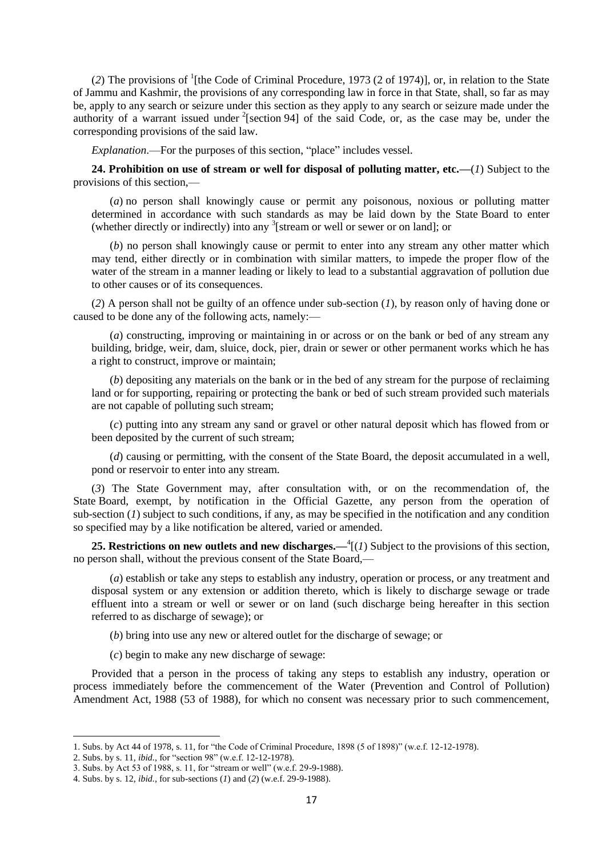(2) The provisions of <sup>1</sup>[the Code of Criminal Procedure, 1973 (2 of 1974)], or, in relation to the State of Jammu and Kashmir, the provisions of any corresponding law in force in that State, shall, so far as may be, apply to any search or seizure under this section as they apply to any search or seizure made under the authority of a warrant issued under  $2$ [section 94] of the said Code, or, as the case may be, under the corresponding provisions of the said law.

*Explanation*.—For the purposes of this section, "place" includes vessel.

**24. Prohibition on use of stream or well for disposal of polluting matter, etc.—**(*1*) Subject to the provisions of this section,—

(*a*) no person shall knowingly cause or permit any poisonous, noxious or polluting matter determined in accordance with such standards as may be laid down by the State Board to enter (whether directly or indirectly) into any <sup>3</sup>[stream or well or sewer or on land]; or

(*b*) no person shall knowingly cause or permit to enter into any stream any other matter which may tend, either directly or in combination with similar matters, to impede the proper flow of the water of the stream in a manner leading or likely to lead to a substantial aggravation of pollution due to other causes or of its consequences.

(*2*) A person shall not be guilty of an offence under sub-section (*1*), by reason only of having done or caused to be done any of the following acts, namely:—

(*a*) constructing, improving or maintaining in or across or on the bank or bed of any stream any building, bridge, weir, dam, sluice, dock, pier, drain or sewer or other permanent works which he has a right to construct, improve or maintain;

(*b*) depositing any materials on the bank or in the bed of any stream for the purpose of reclaiming land or for supporting, repairing or protecting the bank or bed of such stream provided such materials are not capable of polluting such stream;

(*c*) putting into any stream any sand or gravel or other natural deposit which has flowed from or been deposited by the current of such stream;

(*d*) causing or permitting, with the consent of the State Board, the deposit accumulated in a well, pond or reservoir to enter into any stream.

(*3*) The State Government may, after consultation with, or on the recommendation of, the State Board, exempt, by notification in the Official Gazette, any person from the operation of sub-section  $(1)$  subject to such conditions, if any, as may be specified in the notification and any condition so specified may by a like notification be altered, varied or amended.

**25. Restrictions on new outlets and new discharges.—** $\frac{4}{I}(1)$  **Subject to the provisions of this section,** no person shall, without the previous consent of the State Board,—

(*a*) establish or take any steps to establish any industry, operation or process, or any treatment and disposal system or any extension or addition thereto, which is likely to discharge sewage or trade effluent into a stream or well or sewer or on land (such discharge being hereafter in this section referred to as discharge of sewage); or

(*b*) bring into use any new or altered outlet for the discharge of sewage; or

(*c*) begin to make any new discharge of sewage:

Provided that a person in the process of taking any steps to establish any industry, operation or process immediately before the commencement of the Water (Prevention and Control of Pollution) Amendment Act, 1988 (53 of 1988), for which no consent was necessary prior to such commencement,

<sup>1.</sup> Subs. by Act 44 of 1978, s. 11, for "the Code of Criminal Procedure, 1898 (5 of 1898)" (w.e.f. 12-12-1978).

<sup>2.</sup> Subs. by s. 11, *ibid.,* for "section 98" (w.e.f. 12-12-1978).

<sup>3.</sup> Subs. by Act 53 of 1988, s. 11, for "stream or well" (w.e.f. 29-9-1988).

<sup>4.</sup> Subs. by s. 12, *ibid.,* for sub-sections (*1*) and (*2*) (w.e.f. 29-9-1988).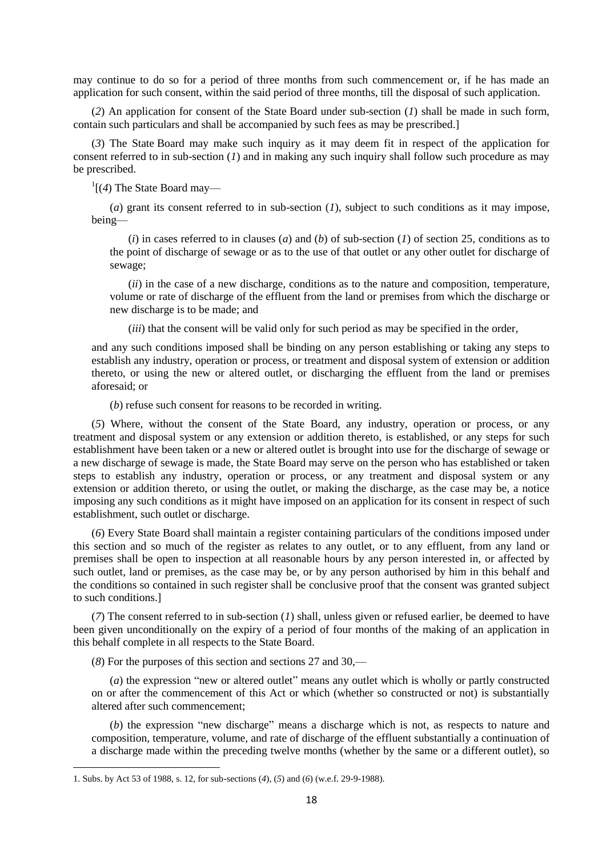may continue to do so for a period of three months from such commencement or, if he has made an application for such consent, within the said period of three months, till the disposal of such application.

(*2*) An application for consent of the State Board under sub-section (*1*) shall be made in such form, contain such particulars and shall be accompanied by such fees as may be prescribed.]

(*3*) The State Board may make such inquiry as it may deem fit in respect of the application for consent referred to in sub-section (*1*) and in making any such inquiry shall follow such procedure as may be prescribed.

 $\frac{1}{4}$ [(4) The State Board may—

(*a*) grant its consent referred to in sub-section (*1*), subject to such conditions as it may impose, being—

(*i*) in cases referred to in clauses (*a*) and (*b*) of sub-section (*1*) of section 25, conditions as to the point of discharge of sewage or as to the use of that outlet or any other outlet for discharge of sewage;

(*ii*) in the case of a new discharge, conditions as to the nature and composition, temperature, volume or rate of discharge of the effluent from the land or premises from which the discharge or new discharge is to be made; and

(*iii*) that the consent will be valid only for such period as may be specified in the order,

and any such conditions imposed shall be binding on any person establishing or taking any steps to establish any industry, operation or process, or treatment and disposal system of extension or addition thereto, or using the new or altered outlet, or discharging the effluent from the land or premises aforesaid; or

(*b*) refuse such consent for reasons to be recorded in writing.

(*5*) Where, without the consent of the State Board, any industry, operation or process, or any treatment and disposal system or any extension or addition thereto, is established, or any steps for such establishment have been taken or a new or altered outlet is brought into use for the discharge of sewage or a new discharge of sewage is made, the State Board may serve on the person who has established or taken steps to establish any industry, operation or process, or any treatment and disposal system or any extension or addition thereto, or using the outlet, or making the discharge, as the case may be, a notice imposing any such conditions as it might have imposed on an application for its consent in respect of such establishment, such outlet or discharge.

(*6*) Every State Board shall maintain a register containing particulars of the conditions imposed under this section and so much of the register as relates to any outlet, or to any effluent, from any land or premises shall be open to inspection at all reasonable hours by any person interested in, or affected by such outlet, land or premises, as the case may be, or by any person authorised by him in this behalf and the conditions so contained in such register shall be conclusive proof that the consent was granted subject to such conditions.]

(*7*) The consent referred to in sub-section (*1*) shall, unless given or refused earlier, be deemed to have been given unconditionally on the expiry of a period of four months of the making of an application in this behalf complete in all respects to the State Board.

(*8*) For the purposes of this section and sections 27 and 30,—

(*a*) the expression "new or altered outlet" means any outlet which is wholly or partly constructed on or after the commencement of this Act or which (whether so constructed or not) is substantially altered after such commencement;

(*b*) the expression "new discharge" means a discharge which is not, as respects to nature and composition, temperature, volume, and rate of discharge of the effluent substantially a continuation of a discharge made within the preceding twelve months (whether by the same or a different outlet), so

<sup>1.</sup> Subs. by Act 53 of 1988, s. 12, for sub-sections (*4*), (*5*) and (*6*) (w.e.f. 29-9-1988).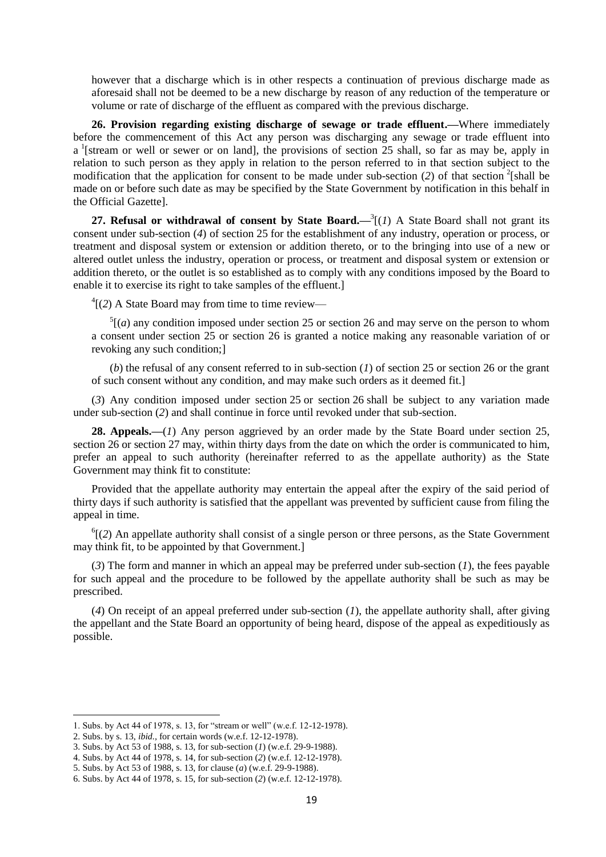however that a discharge which is in other respects a continuation of previous discharge made as aforesaid shall not be deemed to be a new discharge by reason of any reduction of the temperature or volume or rate of discharge of the effluent as compared with the previous discharge.

**26. Provision regarding existing discharge of sewage or trade effluent.—**Where immediately before the commencement of this Act any person was discharging any sewage or trade effluent into a <sup>1</sup>[stream or well or sewer or on land], the provisions of section 25 shall, so far as may be, apply in relation to such person as they apply in relation to the person referred to in that section subject to the modification that the application for consent to be made under sub-section (2) of that section <sup>2</sup>[shall be made on or before such date as may be specified by the State Government by notification in this behalf in the Official Gazette].

**27. Refusal or withdrawal of consent by State Board.**— $^{3}$ [(*1*) A State Board shall not grant its consent under sub-section (*4*) of section 25 for the establishment of any industry, operation or process, or treatment and disposal system or extension or addition thereto, or to the bringing into use of a new or altered outlet unless the industry, operation or process, or treatment and disposal system or extension or addition thereto, or the outlet is so established as to comply with any conditions imposed by the Board to enable it to exercise its right to take samples of the effluent.]

 $^{4}$ [(2) A State Board may from time to time review—

 $<sup>5</sup>$ [(*a*) any condition imposed under section 25 or section 26 and may serve on the person to whom</sup> a consent under section 25 or section 26 is granted a notice making any reasonable variation of or revoking any such condition;]

(*b*) the refusal of any consent referred to in sub-section (*1*) of section 25 or section 26 or the grant of such consent without any condition, and may make such orders as it deemed fit.]

(*3*) Any condition imposed under section 25 or section 26 shall be subject to any variation made under sub-section (*2*) and shall continue in force until revoked under that sub-section.

28. Appeals.—(*1*) Any person aggrieved by an order made by the State Board under section 25, section 26 or section 27 may, within thirty days from the date on which the order is communicated to him, prefer an appeal to such authority (hereinafter referred to as the appellate authority) as the State Government may think fit to constitute:

Provided that the appellate authority may entertain the appeal after the expiry of the said period of thirty days if such authority is satisfied that the appellant was prevented by sufficient cause from filing the appeal in time.

 $<sup>6</sup>$ [(2) An appellate authority shall consist of a single person or three persons, as the State Government</sup> may think fit, to be appointed by that Government.]

(*3*) The form and manner in which an appeal may be preferred under sub-section (*1*), the fees payable for such appeal and the procedure to be followed by the appellate authority shall be such as may be prescribed.

(*4*) On receipt of an appeal preferred under sub-section (*1*), the appellate authority shall, after giving the appellant and the State Board an opportunity of being heard, dispose of the appeal as expeditiously as possible.

<sup>1.</sup> Subs. by Act 44 of 1978, s. 13, for "stream or well" (w.e.f. 12-12-1978).

<sup>2.</sup> Subs. by s. 13, *ibid.,* for certain words (w.e.f. 12-12-1978).

<sup>3.</sup> Subs. by Act 53 of 1988, s. 13, for sub-section (*1*) (w.e.f. 29-9-1988).

<sup>4.</sup> Subs. by Act 44 of 1978, s. 14, for sub-section (*2*) (w.e.f. 12-12-1978).

<sup>5.</sup> Subs. by Act 53 of 1988, s. 13, for clause (*a*) (w.e.f. 29-9-1988).

<sup>6.</sup> Subs. by Act 44 of 1978, s. 15, for sub-section (*2*) (w.e.f. 12-12-1978).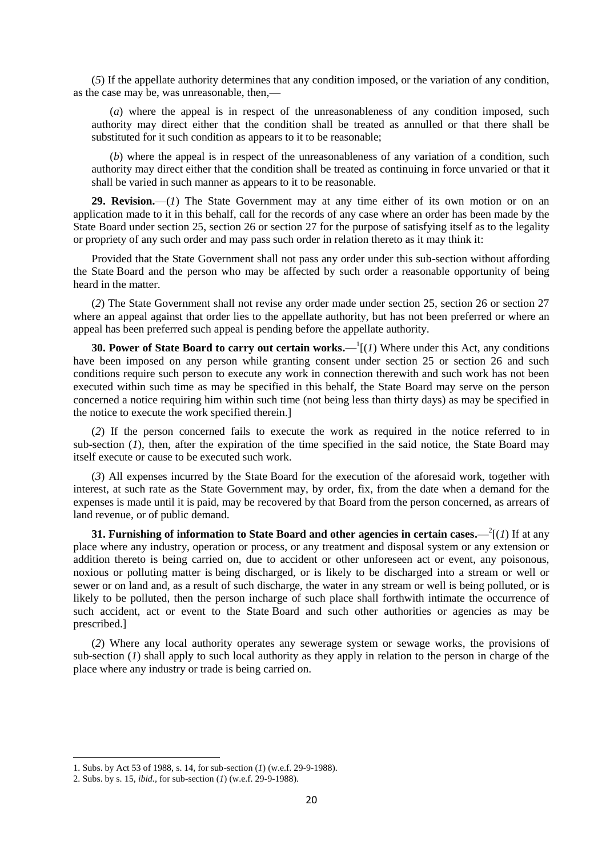(*5*) If the appellate authority determines that any condition imposed, or the variation of any condition, as the case may be, was unreasonable, then,—

(*a*) where the appeal is in respect of the unreasonableness of any condition imposed, such authority may direct either that the condition shall be treated as annulled or that there shall be substituted for it such condition as appears to it to be reasonable;

(*b*) where the appeal is in respect of the unreasonableness of any variation of a condition, such authority may direct either that the condition shall be treated as continuing in force unvaried or that it shall be varied in such manner as appears to it to be reasonable.

**29. Revision.**—(*1*) The State Government may at any time either of its own motion or on an application made to it in this behalf, call for the records of any case where an order has been made by the State Board under section 25, section 26 or section 27 for the purpose of satisfying itself as to the legality or propriety of any such order and may pass such order in relation thereto as it may think it:

Provided that the State Government shall not pass any order under this sub-section without affording the State Board and the person who may be affected by such order a reasonable opportunity of being heard in the matter.

(*2*) The State Government shall not revise any order made under section 25, section 26 or section 27 where an appeal against that order lies to the appellate authority, but has not been preferred or where an appeal has been preferred such appeal is pending before the appellate authority.

**30. Power of State Board to carry out certain works.—** $\frac{1}{1}(1)$  **Where under this Act, any conditions** have been imposed on any person while granting consent under section 25 or section 26 and such conditions require such person to execute any work in connection therewith and such work has not been executed within such time as may be specified in this behalf, the State Board may serve on the person concerned a notice requiring him within such time (not being less than thirty days) as may be specified in the notice to execute the work specified therein.]

(*2*) If the person concerned fails to execute the work as required in the notice referred to in sub-section (*1*), then, after the expiration of the time specified in the said notice, the State Board may itself execute or cause to be executed such work.

(*3*) All expenses incurred by the State Board for the execution of the aforesaid work, together with interest, at such rate as the State Government may, by order, fix, from the date when a demand for the expenses is made until it is paid, may be recovered by that Board from the person concerned, as arrears of land revenue, or of public demand.

**31. Furnishing of information to State Board and other agencies in certain cases.—<sup>2</sup>[(***1***) If at any** place where any industry, operation or process, or any treatment and disposal system or any extension or addition thereto is being carried on, due to accident or other unforeseen act or event, any poisonous, noxious or polluting matter is being discharged, or is likely to be discharged into a stream or well or sewer or on land and, as a result of such discharge, the water in any stream or well is being polluted, or is likely to be polluted, then the person incharge of such place shall forthwith intimate the occurrence of such accident, act or event to the State Board and such other authorities or agencies as may be prescribed.]

(*2*) Where any local authority operates any sewerage system or sewage works, the provisions of sub-section (*1*) shall apply to such local authority as they apply in relation to the person in charge of the place where any industry or trade is being carried on.

<sup>1.</sup> Subs. by Act 53 of 1988, s. 14, for sub-section (*1*) (w.e.f. 29-9-1988).

<sup>2.</sup> Subs. by s. 15, *ibid.,* for sub-section (*1*) (w.e.f. 29-9-1988).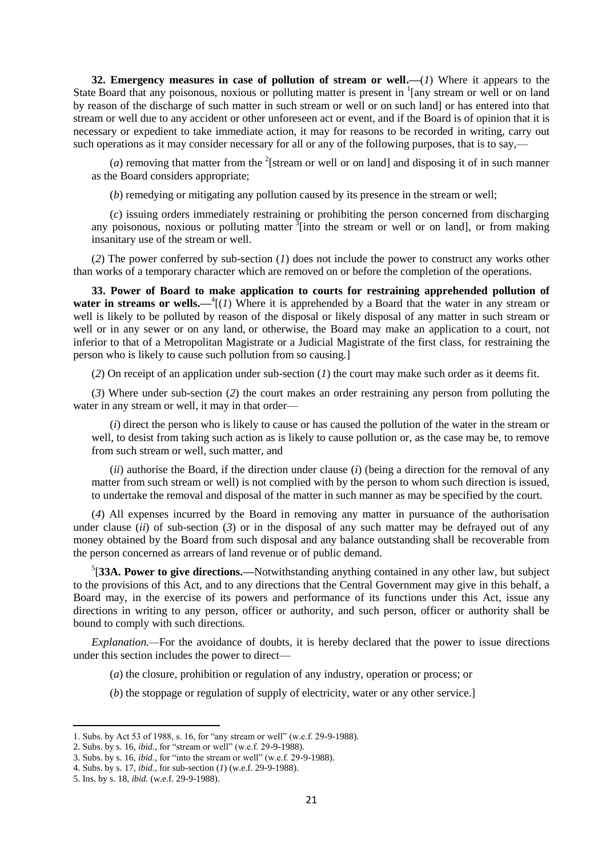**32. Emergency measures in case of pollution of stream or well.—**(*1*) Where it appears to the State Board that any poisonous, noxious or polluting matter is present in <sup>1</sup>[any stream or well or on land by reason of the discharge of such matter in such stream or well or on such land] or has entered into that stream or well due to any accident or other unforeseen act or event, and if the Board is of opinion that it is necessary or expedient to take immediate action, it may for reasons to be recorded in writing, carry out such operations as it may consider necessary for all or any of the following purposes, that is to say,—

(*a*) removing that matter from the  $2$ [stream or well or on land] and disposing it of in such manner as the Board considers appropriate;

(*b*) remedying or mitigating any pollution caused by its presence in the stream or well;

(*c*) issuing orders immediately restraining or prohibiting the person concerned from discharging any poisonous, noxious or polluting matter <sup>3</sup> [into the stream or well or on land], or from making insanitary use of the stream or well.

(*2*) The power conferred by sub-section (*1*) does not include the power to construct any works other than works of a temporary character which are removed on or before the completion of the operations.

**33. Power of Board to make application to courts for restraining apprehended pollution of water in streams or wells.**— $^{4}$ [(*1*) Where it is apprehended by a Board that the water in any stream or well is likely to be polluted by reason of the disposal or likely disposal of any matter in such stream or well or in any sewer or on any land, or otherwise, the Board may make an application to a court, not inferior to that of a Metropolitan Magistrate or a Judicial Magistrate of the first class, for restraining the person who is likely to cause such pollution from so causing.]

(*2*) On receipt of an application under sub-section (*1*) the court may make such order as it deems fit.

(*3*) Where under sub-section (*2*) the court makes an order restraining any person from polluting the water in any stream or well, it may in that order—

(*i*) direct the person who is likely to cause or has caused the pollution of the water in the stream or well, to desist from taking such action as is likely to cause pollution or, as the case may be, to remove from such stream or well, such matter, and

(*ii*) authorise the Board, if the direction under clause (*i*) (being a direction for the removal of any matter from such stream or well) is not complied with by the person to whom such direction is issued, to undertake the removal and disposal of the matter in such manner as may be specified by the court.

(*4*) All expenses incurred by the Board in removing any matter in pursuance of the authorisation under clause *(ii)* of sub-section (3) or in the disposal of any such matter may be defrayed out of any money obtained by the Board from such disposal and any balance outstanding shall be recoverable from the person concerned as arrears of land revenue or of public demand.

5 [**33A. Power to give directions.—**Notwithstanding anything contained in any other law, but subject to the provisions of this Act, and to any directions that the Central Government may give in this behalf, a Board may, in the exercise of its powers and performance of its functions under this Act, issue any directions in writing to any person, officer or authority, and such person, officer or authority shall be bound to comply with such directions.

*Explanation.—*For the avoidance of doubts, it is hereby declared that the power to issue directions under this section includes the power to direct—

(*a*) the closure, prohibition or regulation of any industry, operation or process; or

(*b*) the stoppage or regulation of supply of electricity, water or any other service.]

<sup>1.</sup> Subs. by Act 53 of 1988, s. 16, for "any stream or well" (w.e.f. 29-9-1988).

<sup>2.</sup> Subs. by s. 16, *ibid.,* for "stream or well" (w.e.f. 29-9-1988).

<sup>3.</sup> Subs. by s. 16, *ibid.,* for "into the stream or well" (w.e.f. 29-9-1988).

<sup>4.</sup> Subs. by s. 17, *ibid.,* for sub-section (*1*) (w.e.f. 29-9-1988).

<sup>5.</sup> Ins. by s. 18, *ibid.* (w.e.f. 29-9-1988).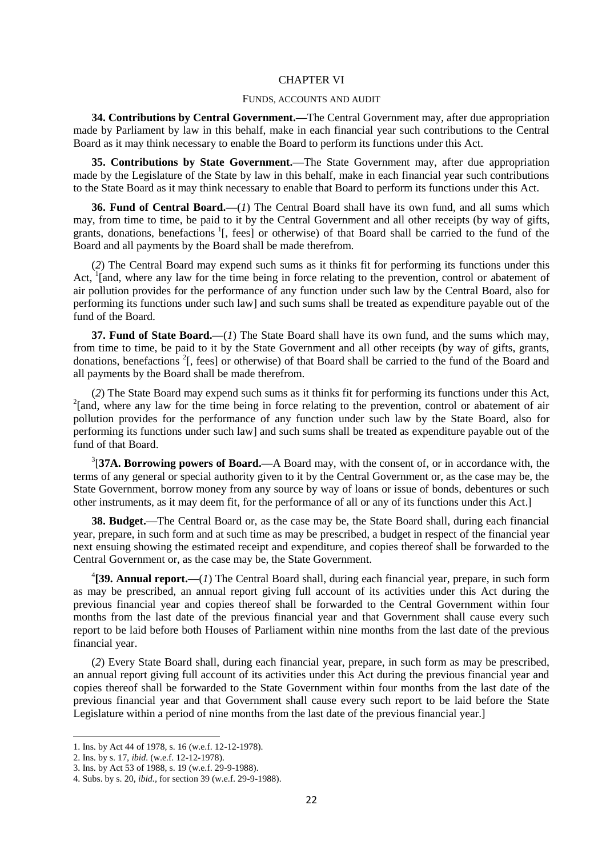#### CHAPTER VI

### FUNDS, ACCOUNTS AND AUDIT

**34. Contributions by Central Government.—**The Central Government may, after due appropriation made by Parliament by law in this behalf, make in each financial year such contributions to the Central Board as it may think necessary to enable the Board to perform its functions under this Act.

**35. Contributions by State Government.—**The State Government may, after due appropriation made by the Legislature of the State by law in this behalf, make in each financial year such contributions to the State Board as it may think necessary to enable that Board to perform its functions under this Act.

**36. Fund of Central Board.—**(*1*) The Central Board shall have its own fund, and all sums which may, from time to time, be paid to it by the Central Government and all other receipts (by way of gifts, grants, donations, benefactions <sup>1</sup>[, fees] or otherwise) of that Board shall be carried to the fund of the Board and all payments by the Board shall be made therefrom.

(*2*) The Central Board may expend such sums as it thinks fit for performing its functions under this Act, <sup>1</sup>[and, where any law for the time being in force relating to the prevention, control or abatement of air pollution provides for the performance of any function under such law by the Central Board, also for performing its functions under such law] and such sums shall be treated as expenditure payable out of the fund of the Board.

**37. Fund of State Board.—**(*1*) The State Board shall have its own fund, and the sums which may, from time to time, be paid to it by the State Government and all other receipts (by way of gifts, grants, donations, benefactions <sup>2</sup>[, fees] or otherwise) of that Board shall be carried to the fund of the Board and all payments by the Board shall be made therefrom.

(*2*) The State Board may expend such sums as it thinks fit for performing its functions under this Act, <sup>2</sup>[and, where any law for the time being in force relating to the prevention, control or abatement of air pollution provides for the performance of any function under such law by the State Board, also for performing its functions under such law] and such sums shall be treated as expenditure payable out of the fund of that Board.

3 [**37A. Borrowing powers of Board.—**A Board may, with the consent of, or in accordance with, the terms of any general or special authority given to it by the Central Government or, as the case may be, the State Government, borrow money from any source by way of loans or issue of bonds, debentures or such other instruments, as it may deem fit, for the performance of all or any of its functions under this Act.]

**38. Budget.—**The Central Board or, as the case may be, the State Board shall, during each financial year, prepare, in such form and at such time as may be prescribed, a budget in respect of the financial year next ensuing showing the estimated receipt and expenditure, and copies thereof shall be forwarded to the Central Government or, as the case may be, the State Government.

4 **[39. Annual report.—**(*1*) The Central Board shall, during each financial year, prepare, in such form as may be prescribed, an annual report giving full account of its activities under this Act during the previous financial year and copies thereof shall be forwarded to the Central Government within four months from the last date of the previous financial year and that Government shall cause every such report to be laid before both Houses of Parliament within nine months from the last date of the previous financial year.

(*2*) Every State Board shall, during each financial year, prepare, in such form as may be prescribed, an annual report giving full account of its activities under this Act during the previous financial year and copies thereof shall be forwarded to the State Government within four months from the last date of the previous financial year and that Government shall cause every such report to be laid before the State Legislature within a period of nine months from the last date of the previous financial year.]

<sup>1.</sup> Ins. by Act 44 of 1978, s. 16 (w.e.f. 12-12-1978).

<sup>2.</sup> Ins. by s. 17, *ibid.* (w.e.f. 12-12-1978).

<sup>3.</sup> Ins. by Act 53 of 1988, s. 19 (w.e.f. 29-9-1988).

<sup>4.</sup> Subs. by s. 20, *ibid.,* for section 39 (w.e.f. 29-9-1988).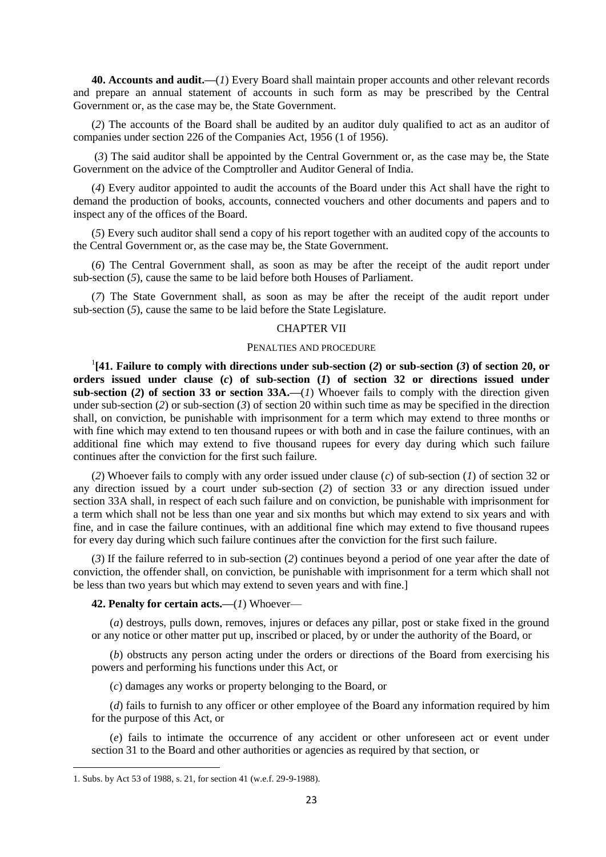**40. Accounts and audit.—**(*1*) Every Board shall maintain proper accounts and other relevant records and prepare an annual statement of accounts in such form as may be prescribed by the Central Government or, as the case may be, the State Government.

(*2*) The accounts of the Board shall be audited by an auditor duly qualified to act as an auditor of companies under section 226 of the Companies Act, 1956 (1 of 1956).

(*3*) The said auditor shall be appointed by the Central Government or, as the case may be, the State Government on the advice of the Comptroller and Auditor General of India.

(*4*) Every auditor appointed to audit the accounts of the Board under this Act shall have the right to demand the production of books, accounts, connected vouchers and other documents and papers and to inspect any of the offices of the Board.

(*5*) Every such auditor shall send a copy of his report together with an audited copy of the accounts to the Central Government or, as the case may be, the State Government.

(*6*) The Central Government shall, as soon as may be after the receipt of the audit report under sub-section (*5*), cause the same to be laid before both Houses of Parliament.

(*7*) The State Government shall, as soon as may be after the receipt of the audit report under sub-section (*5*), cause the same to be laid before the State Legislature.

### CHAPTER VII

#### PENALTIES AND PROCEDURE

1 **[41. Failure to comply with directions under sub-section (***2***) or sub-section (***3***) of section 20, or orders issued under clause (***c***) of sub-section (***1***) of section 32 or directions issued under sub-section (***2***) of section 33 or section 33A.—**(*1*) Whoever fails to comply with the direction given under sub-section (*2*) or sub-section (*3*) of section 20 within such time as may be specified in the direction shall, on conviction, be punishable with imprisonment for a term which may extend to three months or with fine which may extend to ten thousand rupees or with both and in case the failure continues, with an additional fine which may extend to five thousand rupees for every day during which such failure continues after the conviction for the first such failure.

(*2*) Whoever fails to comply with any order issued under clause (*c*) of sub-section (*1*) of section 32 or any direction issued by a court under sub-section (*2*) of section 33 or any direction issued under section 33A shall, in respect of each such failure and on conviction, be punishable with imprisonment for a term which shall not be less than one year and six months but which may extend to six years and with fine, and in case the failure continues, with an additional fine which may extend to five thousand rupees for every day during which such failure continues after the conviction for the first such failure.

(*3*) If the failure referred to in sub-section (*2*) continues beyond a period of one year after the date of conviction, the offender shall, on conviction, be punishable with imprisonment for a term which shall not be less than two years but which may extend to seven years and with fine.]

#### **42. Penalty for certain acts.—**(*1*) Whoever—

(*a*) destroys, pulls down, removes, injures or defaces any pillar, post or stake fixed in the ground or any notice or other matter put up, inscribed or placed, by or under the authority of the Board, or

(*b*) obstructs any person acting under the orders or directions of the Board from exercising his powers and performing his functions under this Act, or

(*c*) damages any works or property belonging to the Board, or

(*d*) fails to furnish to any officer or other employee of the Board any information required by him for the purpose of this Act, or

(*e*) fails to intimate the occurrence of any accident or other unforeseen act or event under section 31 to the Board and other authorities or agencies as required by that section, or

<sup>1.</sup> Subs. by Act 53 of 1988, s. 21, for section 41 (w.e.f. 29-9-1988).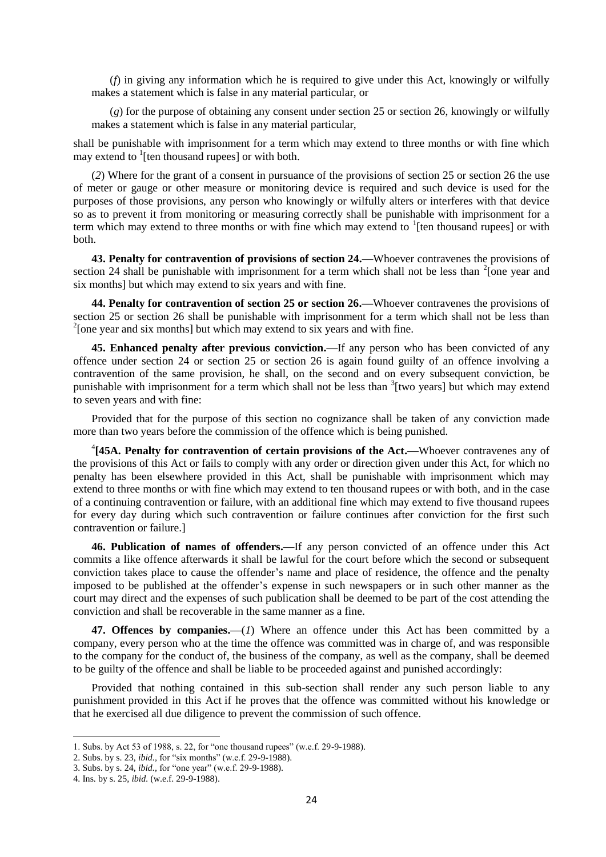(*f*) in giving any information which he is required to give under this Act, knowingly or wilfully makes a statement which is false in any material particular, or

(*g*) for the purpose of obtaining any consent under section 25 or section 26, knowingly or wilfully makes a statement which is false in any material particular,

shall be punishable with imprisonment for a term which may extend to three months or with fine which may extend to <sup>1</sup>[ten thousand rupees] or with both.

(*2*) Where for the grant of a consent in pursuance of the provisions of section 25 or section 26 the use of meter or gauge or other measure or monitoring device is required and such device is used for the purposes of those provisions, any person who knowingly or wilfully alters or interferes with that device so as to prevent it from monitoring or measuring correctly shall be punishable with imprisonment for a term which may extend to three months or with fine which may extend to <sup>1</sup>[ten thousand rupees] or with both.

**43. Penalty for contravention of provisions of section 24.—**Whoever contravenes the provisions of section 24 shall be punishable with imprisonment for a term which shall not be less than  $2$ [one year and six months] but which may extend to six years and with fine.

**44. Penalty for contravention of section 25 or section 26.—**Whoever contravenes the provisions of section 25 or section 26 shall be punishable with imprisonment for a term which shall not be less than  $2$ [one year and six months] but which may extend to six years and with fine.

**45. Enhanced penalty after previous conviction.—**If any person who has been convicted of any offence under section 24 or section 25 or section 26 is again found guilty of an offence involving a contravention of the same provision, he shall, on the second and on every subsequent conviction, be punishable with imprisonment for a term which shall not be less than <sup>3</sup>[two years] but which may extend to seven years and with fine:

Provided that for the purpose of this section no cognizance shall be taken of any conviction made more than two years before the commission of the offence which is being punished.

4 **[45A. Penalty for contravention of certain provisions of the Act.—**Whoever contravenes any of the provisions of this Act or fails to comply with any order or direction given under this Act, for which no penalty has been elsewhere provided in this Act, shall be punishable with imprisonment which may extend to three months or with fine which may extend to ten thousand rupees or with both, and in the case of a continuing contravention or failure, with an additional fine which may extend to five thousand rupees for every day during which such contravention or failure continues after conviction for the first such contravention or failure.]

**46. Publication of names of offenders.—**If any person convicted of an offence under this Act commits a like offence afterwards it shall be lawful for the court before which the second or subsequent conviction takes place to cause the offender's name and place of residence, the offence and the penalty imposed to be published at the offender's expense in such newspapers or in such other manner as the court may direct and the expenses of such publication shall be deemed to be part of the cost attending the conviction and shall be recoverable in the same manner as a fine.

**47. Offences by companies.—**(*1*) Where an offence under this Act has been committed by a company, every person who at the time the offence was committed was in charge of, and was responsible to the company for the conduct of, the business of the company, as well as the company, shall be deemed to be guilty of the offence and shall be liable to be proceeded against and punished accordingly:

Provided that nothing contained in this sub-section shall render any such person liable to any punishment provided in this Act if he proves that the offence was committed without his knowledge or that he exercised all due diligence to prevent the commission of such offence.

<sup>1.</sup> Subs. by Act 53 of 1988, s. 22, for "one thousand rupees" (w.e.f. 29-9-1988).

<sup>2.</sup> Subs. by s. 23, *ibid.,* for "six months" (w.e.f. 29-9-1988).

<sup>3.</sup> Subs. by s. 24, *ibid.,* for "one year" (w.e.f. 29-9-1988).

<sup>4.</sup> Ins. by s. 25, *ibid.* (w.e.f. 29-9-1988).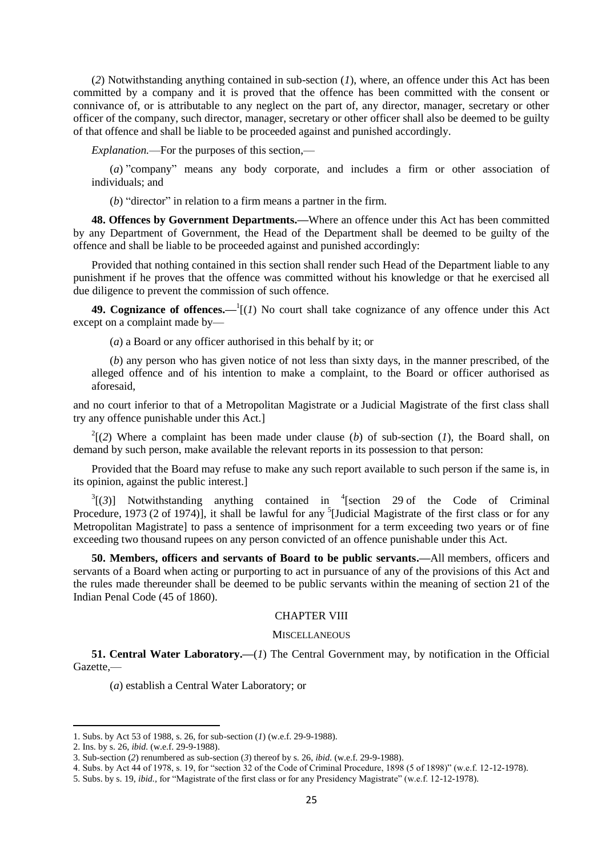(*2*) Notwithstanding anything contained in sub-section (*1*), where, an offence under this Act has been committed by a company and it is proved that the offence has been committed with the consent or connivance of, or is attributable to any neglect on the part of, any director, manager, secretary or other officer of the company, such director, manager, secretary or other officer shall also be deemed to be guilty of that offence and shall be liable to be proceeded against and punished accordingly.

*Explanation.*—For the purposes of this section,—

(*a*) "company" means any body corporate, and includes a firm or other association of individuals; and

(*b*) "director" in relation to a firm means a partner in the firm.

**48. Offences by Government Departments.—**Where an offence under this Act has been committed by any Department of Government, the Head of the Department shall be deemed to be guilty of the offence and shall be liable to be proceeded against and punished accordingly:

Provided that nothing contained in this section shall render such Head of the Department liable to any punishment if he proves that the offence was committed without his knowledge or that he exercised all due diligence to prevent the commission of such offence.

**49. Cognizance of offences.**— $^1$ [(*1*) No court shall take cognizance of any offence under this Act except on a complaint made by—

(*a*) a Board or any officer authorised in this behalf by it; or

(*b*) any person who has given notice of not less than sixty days, in the manner prescribed, of the alleged offence and of his intention to make a complaint, to the Board or officer authorised as aforesaid,

and no court inferior to that of a Metropolitan Magistrate or a Judicial Magistrate of the first class shall try any offence punishable under this Act.]

 $2^{2}$ [(2) Where a complaint has been made under clause (b) of sub-section (1), the Board shall, on demand by such person, make available the relevant reports in its possession to that person:

Provided that the Board may refuse to make any such report available to such person if the same is, in its opinion, against the public interest.]

 $3[(3)]$  Notwithstanding anything contained in <sup>4</sup>[section 29 of the Code of Criminal Procedure, 1973 (2 of 1974)], it shall be lawful for any  $5$ [Judicial Magistrate of the first class or for any Metropolitan Magistrate] to pass a sentence of imprisonment for a term exceeding two years or of fine exceeding two thousand rupees on any person convicted of an offence punishable under this Act.

**50. Members, officers and servants of Board to be public servants.—**All members, officers and servants of a Board when acting or purporting to act in pursuance of any of the provisions of this Act and the rules made thereunder shall be deemed to be public servants within the meaning of section 21 of the Indian Penal Code (45 of 1860).

### CHAPTER VIII

#### **MISCELLANEOUS**

**51. Central Water Laboratory.—**(*1*) The Central Government may, by notification in the Official Gazette,—

(*a*) establish a Central Water Laboratory; or

<sup>1.</sup> Subs. by Act 53 of 1988, s. 26, for sub-section (*1*) (w.e.f. 29-9-1988).

<sup>2.</sup> Ins. by s. 26, *ibid.* (w.e.f. 29-9-1988).

<sup>3.</sup> Sub-section (*2*) renumbered as sub-section (*3*) thereof by s. 26, *ibid.* (w.e.f. 29-9-1988).

<sup>4.</sup> Subs. by Act 44 of 1978, s. 19, for "section 32 of the Code of Criminal Procedure, 1898 (5 of 1898)" (w.e.f. 12-12-1978).

<sup>5.</sup> Subs. by s. 19, *ibid.,* for "Magistrate of the first class or for any Presidency Magistrate" (w.e.f. 12-12-1978).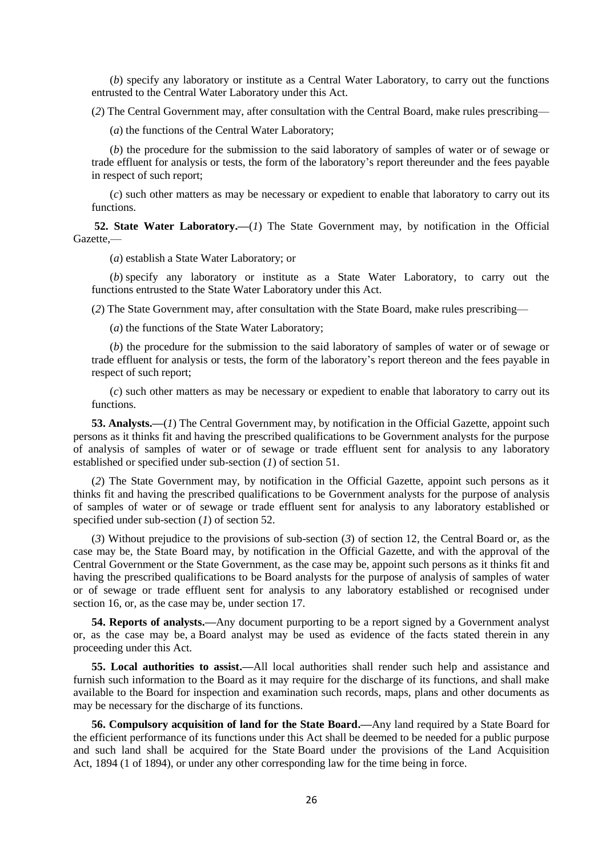(*b*) specify any laboratory or institute as a Central Water Laboratory, to carry out the functions entrusted to the Central Water Laboratory under this Act.

(*2*) The Central Government may, after consultation with the Central Board, make rules prescribing—

(*a*) the functions of the Central Water Laboratory;

(*b*) the procedure for the submission to the said laboratory of samples of water or of sewage or trade effluent for analysis or tests, the form of the laboratory's report thereunder and the fees payable in respect of such report;

(*c*) such other matters as may be necessary or expedient to enable that laboratory to carry out its functions.

**52. State Water Laboratory.—**(*1*) The State Government may, by notification in the Official Gazette,—

(*a*) establish a State Water Laboratory; or

(*b*) specify any laboratory or institute as a State Water Laboratory, to carry out the functions entrusted to the State Water Laboratory under this Act.

(*2*) The State Government may, after consultation with the State Board, make rules prescribing—

(*a*) the functions of the State Water Laboratory;

(*b*) the procedure for the submission to the said laboratory of samples of water or of sewage or trade effluent for analysis or tests, the form of the laboratory's report thereon and the fees payable in respect of such report;

(*c*) such other matters as may be necessary or expedient to enable that laboratory to carry out its functions.

**53. Analysts.—**(*1*) The Central Government may, by notification in the Official Gazette, appoint such persons as it thinks fit and having the prescribed qualifications to be Government analysts for the purpose of analysis of samples of water or of sewage or trade effluent sent for analysis to any laboratory established or specified under sub-section (*1*) of section 51.

(*2*) The State Government may, by notification in the Official Gazette, appoint such persons as it thinks fit and having the prescribed qualifications to be Government analysts for the purpose of analysis of samples of water or of sewage or trade effluent sent for analysis to any laboratory established or specified under sub-section (*1*) of section 52.

(*3*) Without prejudice to the provisions of sub-section (*3*) of section 12, the Central Board or, as the case may be, the State Board may, by notification in the Official Gazette, and with the approval of the Central Government or the State Government, as the case may be, appoint such persons as it thinks fit and having the prescribed qualifications to be Board analysts for the purpose of analysis of samples of water or of sewage or trade effluent sent for analysis to any laboratory established or recognised under section 16, or, as the case may be, under section 17.

**54. Reports of analysts.—**Any document purporting to be a report signed by a Government analyst or, as the case may be, a Board analyst may be used as evidence of the facts stated therein in any proceeding under this Act.

**55. Local authorities to assist.—**All local authorities shall render such help and assistance and furnish such information to the Board as it may require for the discharge of its functions, and shall make available to the Board for inspection and examination such records, maps, plans and other documents as may be necessary for the discharge of its functions.

**56. Compulsory acquisition of land for the State Board.—**Any land required by a State Board for the efficient performance of its functions under this Act shall be deemed to be needed for a public purpose and such land shall be acquired for the State Board under the provisions of the Land Acquisition Act, 1894 (1 of 1894), or under any other corresponding law for the time being in force.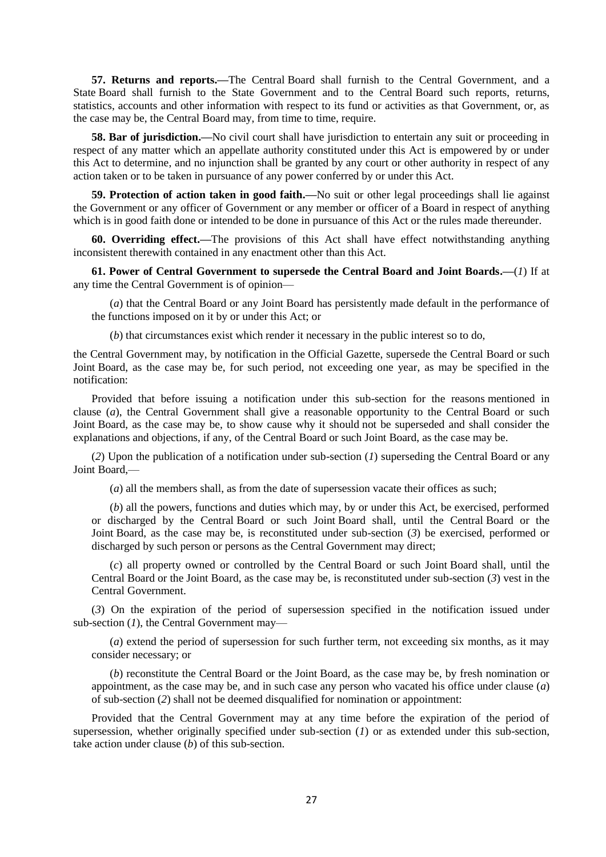**57. Returns and reports.—**The Central Board shall furnish to the Central Government, and a State Board shall furnish to the State Government and to the Central Board such reports, returns, statistics, accounts and other information with respect to its fund or activities as that Government, or, as the case may be, the Central Board may, from time to time, require.

**58. Bar of jurisdiction.—**No civil court shall have jurisdiction to entertain any suit or proceeding in respect of any matter which an appellate authority constituted under this Act is empowered by or under this Act to determine, and no injunction shall be granted by any court or other authority in respect of any action taken or to be taken in pursuance of any power conferred by or under this Act.

**59. Protection of action taken in good faith.—**No suit or other legal proceedings shall lie against the Government or any officer of Government or any member or officer of a Board in respect of anything which is in good faith done or intended to be done in pursuance of this Act or the rules made thereunder.

**60. Overriding effect.—**The provisions of this Act shall have effect notwithstanding anything inconsistent therewith contained in any enactment other than this Act.

**61. Power of Central Government to supersede the Central Board and Joint Boards.—**(*1*) If at any time the Central Government is of opinion—

(*a*) that the Central Board or any Joint Board has persistently made default in the performance of the functions imposed on it by or under this Act; or

(*b*) that circumstances exist which render it necessary in the public interest so to do,

the Central Government may, by notification in the Official Gazette, supersede the Central Board or such Joint Board, as the case may be, for such period, not exceeding one year, as may be specified in the notification:

Provided that before issuing a notification under this sub-section for the reasons mentioned in clause (*a*), the Central Government shall give a reasonable opportunity to the Central Board or such Joint Board, as the case may be, to show cause why it should not be superseded and shall consider the explanations and objections, if any, of the Central Board or such Joint Board, as the case may be.

(*2*) Upon the publication of a notification under sub-section (*1*) superseding the Central Board or any Joint Board,—

(*a*) all the members shall, as from the date of supersession vacate their offices as such;

(*b*) all the powers, functions and duties which may, by or under this Act, be exercised, performed or discharged by the Central Board or such Joint Board shall, until the Central Board or the Joint Board, as the case may be, is reconstituted under sub-section (*3*) be exercised, performed or discharged by such person or persons as the Central Government may direct;

(*c*) all property owned or controlled by the Central Board or such Joint Board shall, until the Central Board or the Joint Board, as the case may be, is reconstituted under sub-section (*3*) vest in the Central Government.

(*3*) On the expiration of the period of supersession specified in the notification issued under sub-section (*1*), the Central Government may—

(*a*) extend the period of supersession for such further term, not exceeding six months, as it may consider necessary; or

(*b*) reconstitute the Central Board or the Joint Board, as the case may be, by fresh nomination or appointment, as the case may be, and in such case any person who vacated his office under clause (*a*) of sub-section (*2*) shall not be deemed disqualified for nomination or appointment:

Provided that the Central Government may at any time before the expiration of the period of supersession, whether originally specified under sub-section (*1*) or as extended under this sub-section, take action under clause  $(b)$  of this sub-section.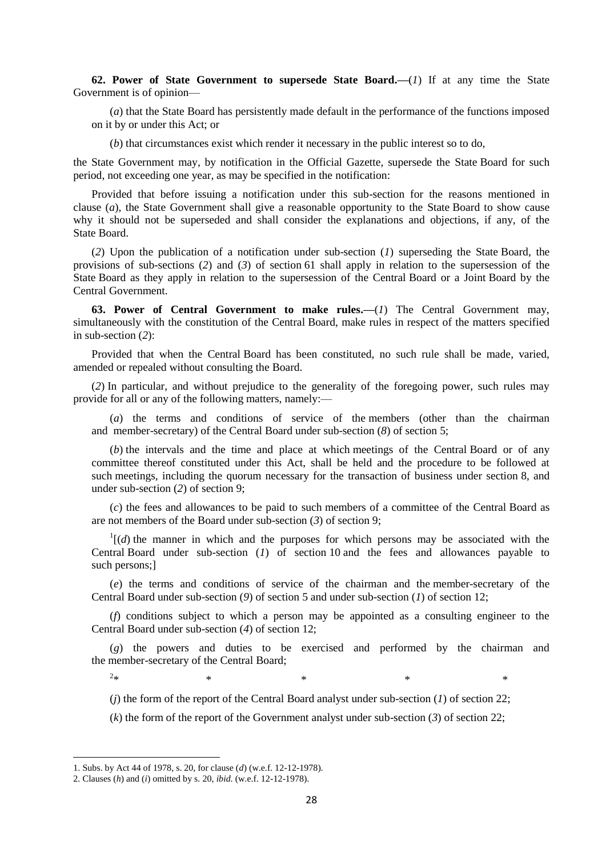**62. Power of State Government to supersede State Board.—**(*1*) If at any time the State Government is of opinion—

(*a*) that the State Board has persistently made default in the performance of the functions imposed on it by or under this Act; or

(*b*) that circumstances exist which render it necessary in the public interest so to do,

the State Government may, by notification in the Official Gazette, supersede the State Board for such period, not exceeding one year, as may be specified in the notification:

Provided that before issuing a notification under this sub-section for the reasons mentioned in clause (*a*), the State Government shall give a reasonable opportunity to the State Board to show cause why it should not be superseded and shall consider the explanations and objections, if any, of the State Board.

(*2*) Upon the publication of a notification under sub-section (*1*) superseding the State Board, the provisions of sub-sections (*2*) and (*3*) of section 61 shall apply in relation to the supersession of the State Board as they apply in relation to the supersession of the Central Board or a Joint Board by the Central Government.

**63. Power of Central Government to make rules.—**(*1*) The Central Government may, simultaneously with the constitution of the Central Board, make rules in respect of the matters specified in sub-section (*2*):

Provided that when the Central Board has been constituted, no such rule shall be made, varied, amended or repealed without consulting the Board.

(*2*) In particular, and without prejudice to the generality of the foregoing power, such rules may provide for all or any of the following matters, namely:—

(*a*) the terms and conditions of service of the members (other than the chairman and member-secretary) of the Central Board under sub-section (*8*) of section 5;

(*b*) the intervals and the time and place at which meetings of the Central Board or of any committee thereof constituted under this Act, shall be held and the procedure to be followed at such meetings, including the quorum necessary for the transaction of business under section 8, and under sub-section (*2*) of section 9;

(*c*) the fees and allowances to be paid to such members of a committee of the Central Board as are not members of the Board under sub-section (*3*) of section 9;

 $\frac{1}{d}$  (*d*) the manner in which and the purposes for which persons may be associated with the Central Board under sub-section (*1*) of section 10 and the fees and allowances payable to such persons;]

(*e*) the terms and conditions of service of the chairman and the member-secretary of the Central Board under sub-section (*9*) of section 5 and under sub-section (*1*) of section 12;

(*f*) conditions subject to which a person may be appointed as a consulting engineer to the Central Board under sub-section (*4*) of section 12;

(*g*) the powers and duties to be exercised and performed by the chairman and the member-secretary of the Central Board;

 $2_{\star}$  $*$   $*$   $*$   $*$   $*$   $*$   $*$ 

(*j*) the form of the report of the Central Board analyst under sub-section (*1*) of section 22;

(*k*) the form of the report of the Government analyst under sub-section (*3*) of section 22;

<sup>1.</sup> Subs. by Act 44 of 1978, s. 20, for clause (*d*) (w.e.f. 12-12-1978).

<sup>2.</sup> Clauses (*h*) and (*i*) omitted by s. 20, *ibid*. (w.e.f. 12-12-1978).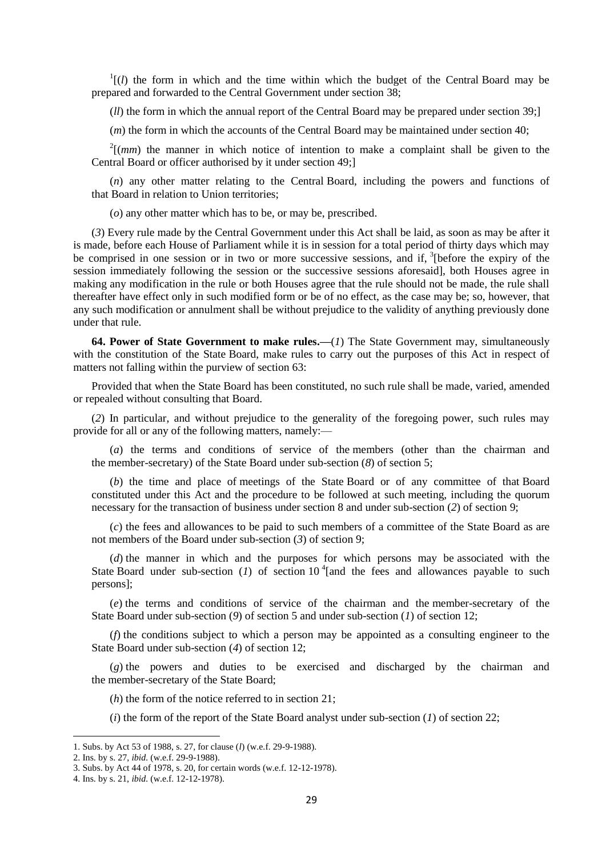$\frac{1}{l}(l)$  the form in which and the time within which the budget of the Central Board may be prepared and forwarded to the Central Government under section 38;

(*ll*) the form in which the annual report of the Central Board may be prepared under section 39;]

(*m*) the form in which the accounts of the Central Board may be maintained under section 40;

 $2(mm)$  the manner in which notice of intention to make a complaint shall be given to the Central Board or officer authorised by it under section 49;]

(*n*) any other matter relating to the Central Board, including the powers and functions of that Board in relation to Union territories;

(*o*) any other matter which has to be, or may be, prescribed.

(*3*) Every rule made by the Central Government under this Act shall be laid, as soon as may be after it is made, before each House of Parliament while it is in session for a total period of thirty days which may be comprised in one session or in two or more successive sessions, and if, <sup>3</sup>[before the expiry of the session immediately following the session or the successive sessions aforesaid], both Houses agree in making any modification in the rule or both Houses agree that the rule should not be made, the rule shall thereafter have effect only in such modified form or be of no effect, as the case may be; so, however, that any such modification or annulment shall be without prejudice to the validity of anything previously done under that rule.

**64. Power of State Government to make rules.—(1)** The State Government may, simultaneously with the constitution of the State Board, make rules to carry out the purposes of this Act in respect of matters not falling within the purview of section 63:

Provided that when the State Board has been constituted, no such rule shall be made, varied, amended or repealed without consulting that Board.

(*2*) In particular, and without prejudice to the generality of the foregoing power, such rules may provide for all or any of the following matters, namely:—

(*a*) the terms and conditions of service of the members (other than the chairman and the member-secretary) of the State Board under sub-section (*8*) of section 5;

(*b*) the time and place of meetings of the State Board or of any committee of that Board constituted under this Act and the procedure to be followed at such meeting, including the quorum necessary for the transaction of business under section 8 and under sub-section (*2*) of section 9;

(*c*) the fees and allowances to be paid to such members of a committee of the State Board as are not members of the Board under sub-section (*3*) of section 9;

(*d*) the manner in which and the purposes for which persons may be associated with the State Board under sub-section  $(I)$  of section  $10<sup>4</sup>$  [and the fees and allowances payable to such persons];

(*e*) the terms and conditions of service of the chairman and the member-secretary of the State Board under sub-section (*9*) of section 5 and under sub-section (*1*) of section 12;

(*f*) the conditions subject to which a person may be appointed as a consulting engineer to the State Board under sub-section (*4*) of section 12;

(*g*) the powers and duties to be exercised and discharged by the chairman and the member-secretary of the State Board;

(*h*) the form of the notice referred to in section 21;

(*i*) the form of the report of the State Board analyst under sub-section (*1*) of section 22;

<sup>1.</sup> Subs. by Act 53 of 1988, s. 27, for clause (*l*) (w.e.f. 29-9-1988).

<sup>2.</sup> Ins. by s. 27, *ibid.* (w.e.f. 29-9-1988).

<sup>3.</sup> Subs. by Act 44 of 1978, s. 20, for certain words (w.e.f. 12-12-1978).

<sup>4.</sup> Ins. by s. 21, *ibid.* (w.e.f. 12-12-1978).